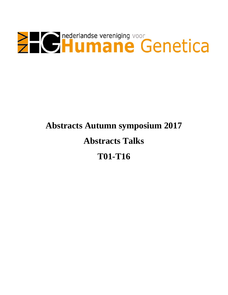

# **Abstracts Autumn symposium 2017 Abstracts Talks T01-T16**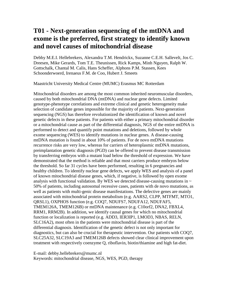### **T01 - Next-generation sequencing of the mtDNA and exome is the preferred, first strategy to identify known and novel causes of mitochondrial disease**

Debby M.E.I. Hellebrekers, Alexandra T.M. Hendrickx, Suzanne C.E.H. Sallevelt, Jos C. Dreesen, Mike Gerards, Tom T.E. Theunissen, Rick Kamps, Minh Nguyen, Ralph W. Gottschalk, Chantal M. Calis, Hans Scheffer, Alphons P.M. Stassen, Kees Schoonderwoerd, Irenaeus F.M. de Coo, Hubert J. Smeets

Maastricht University Medical Centre (MUMC) Erasmus MC Rotterdam

Mitochondrial disorders are among the most common inherited neuromuscular disorders, caused by both mitochondrial DNA (mtDNA) and nuclear gene defects. Limited genotype-phenotype correlations and extreme clinical and genetic heterogeneity make selection of candidate genes impossible for the majority of patients. Next-generation sequencing (NGS) has therefore revolutionized the identification of known and novel genetic defects in these patients. For patients with either a primary mitochondrial disorder or a mitochondrial cause as part of the differential diagnosis, NGS of the entire mtDNA is performed to detect and quantify point mutations and deletions, followed by whole exome sequencing (WES) to identify mutations in nuclear genes. A disease-causing mtDNA mutation is found in about 10% of patients. For de novo mtDNA mutations recurrence risks are very low, whereas for carriers of heteroplasmic mtDNA mutations, preimplantation genetic diagnosis (PGD) can be offered to prevent disease transmission by transferring embryos with a mutant load below the threshold of expression. We have demonstrated that the method is reliable and that most carriers produce embryos below the threshold. So far 31 cycles have been performed, resulting in 6 pregnancies and healthy children. To identify nuclear gene defects, we apply WES and analysis of a panel of known mitochondrial disease genes, which, if negative, is followed by open exome analysis with functional validation. By WES we detected disease-causing mutations in  $\sim$ 50% of patients, including autosomal recessive cases, patients with de novo mutations, as well as patients with multi-genic disease manifestations. The defective genes are mainly associated with mitochondrial protein metabolism (e.g. AARS2, CLPP, MTFMT, MTO1, QRSL1), OXPHOS function (e.g. COQ7, NDUFS7, NDUFA12, NDUFAF5, TMEM126A, TMEM126B) or mtDNA maintenance (e.g. C10orf2, DNA2, FBXL4, RRM1, RRM2B). In addition, we identify causal genes for which no mitochondrial function or localization is reported (e.g. ADD3, IER3IP1, LMOD3, NBAS, RELN, SLC16A2), most often in the patients were mitochondrial disease is part of the differential diagnosis. Identification of the genetic defect is not only important for diagnostics, but can also be crucial for therapeutic intervention. Our patients with COQ7, SLC25A32, SLC19A3 and TMEM126B defects showed clear clinical improvement upon treatment with respectively coenzyme Q, riboflavin, biotin/thiamine and high fat-diet.

E-mail: debby.hellebrekers@mumc.nl Keywords: mitochondrial disease, NGS, WES, PGD, therapy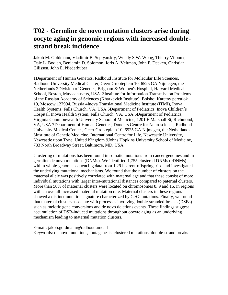#### **T02 - Germline de novo mutation clusters arise during oocyte aging in genomic regions with increased doublestrand break incidence**

Jakob M. Goldmann, Vladimir B. Seplyarskiy, Wendy S.W. Wong, Thierry Vilboux, Dale L. Bodian, Benjamin D. Solomon, Joris A. Veltman, John F. Deeken, Christian Gilissen, John E. Niederhuber

1Department of Human Genetics, Radboud Institute for Molecular Life Sciences, Radboud University Medical Center, Geert Grooteplein 10, 6525 GA Nijmegen, the Netherlands 2Division of Genetics, Brigham & Women's Hospital, Harvard Medical School, Boston, Massachusetts, USA. 3Institute for Information Transmission Problems of the Russian Academy of Sciences (Kharkevich Institute), Bolshoi Karetny pereulok 19, Moscow 127994, Russia 4Inova Translational Medicine Institute (ITMI), Inova Health Systems, Falls Church, VA, USA 5Department of Pediatrics, Inova Children´s Hospital, Inova Health System, Falls Church, VA, USA 6Department of Pediatrics, Virginia Commonwealth University School of Medicine, 1201 E Marshall St, Richmond, VA, USA 7Department of Human Genetics, Donders Centre for Neuroscience, Radboud University Medical Center , Geert Grooteplein 10, 6525 GA Nijmegen, the Netherlands 8Institute of Genetic Medicine, International Centre for Life, Newcastle University, Newcastle upon Tyne, United Kingdom 9Johns Hopkins University School of Medicine, 733 North Broadway Street, Baltimore, MD, USA

Clustering of mutations has been found in somatic mutations from cancer genomes and in germline de novo mutations (DNMs). We identified 1,755 clustered DNMs (cDNMs) within whole-genome sequencing data from 1,291 parent-offspring trios and investigated the underlying mutational mechanisms. We found that the number of clusters on the maternal allele was positively correlated with maternal age and that these consist of more individual mutations with larger intra-mutational distances compared to paternal clusters. More than 50% of maternal clusters were located on chromosomes 8, 9 and 16, in regions with an overall increased maternal mutation rate. Maternal clusters in these regions showed a distinct mutation signature characterized by C>G mutations. Finally, we found that maternal clusters associate with processes involving double-stranded-breaks (DSBs) such as meiotic gene conversions and de novo deletions events. These findings suggest accumulation of DSB-induced mutations throughout oocyte aging as an underlying mechanism leading to maternal mutation clusters.

E-mail: jakob.goldmann@radboudumc.nl

Keywords: de novo mutations, mutagenesis, clustered mutations, double-strand breaks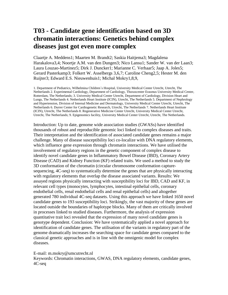### **T03 - Candidate gene identification based on 3D chromatin interactions: Genetics behind complex diseases just got even more complex**

Claartje A. Meddens1; Maarten M. Brandt2; Saskia Haitjema3; Magdalena Harakalova3,4; Noortje A.M. van den Dungen3; Nico Lansu1; Sander W. van der Laan3; Laura Louzao-Martinez5; Dirk J. Duncker1; Marianne C. Verhaar5; Jaap A. Joles5; Gerard Pasterkamp3; Folkert W. Asselbergs 3,6,7; Caroline Cheng2,5; Hester M. den Ruijter3; Edward E.S. Nieuwenhuis1; Michal Mokry1,8,9,

1. Department of Pediatrics, Wilhelmina Children´s Hospital, University Medical Center Utrecht, Utrecht, The Netherlands 2. Experimental Cardiology, Department of Cardiology, Thoraxcenter Erasmus University Medical Center, Rotterdam, The Netherlands; 3. University Medical Center Utrecht, Department of Cardiology, Division Heart and Lungs, The Netherlands 4. Netherlands Heart Institute (ICIN), Utrecht, The Netherlands 5. Department of Nephrology and Hypertension, Division of Internal Medicine and Dermatology, University Medical Center Utrecht, Utrecht, The Netherlands 6. Durrer Center for Cardiogenetic Research, Utrecht, The Netherlands 7. Netherlands Heart Institute (ICIN), Utrecht, The Netherlands 8. Regenerative Medicine Center Utrecht, University Medical Center Utrecht, Utrecht, The Netherlands; 9. Epigenomics facility, University Medical Center Utrecht, Utrecht, The Netherlands.

Introduction: Up to date, genome wide association studies (GWASs) have identified thousands of robust and reproducible genomic loci linked to complex diseases and traits. Their interpretation and the identification of associated candidate genes remains a major challenge. Many of disease susceptibility loci co-localize with DNA regulatory elements, which influence gene expression through chromatin interactions. We have utilised the involvement of regulatory regions in the genetic component of complex disease to identify novel candidate genes in Inflammatory Bowel Disease (IBD), Coronary Artery Disease (CAD) and Kidney Function (KF) related traits. We used a method to study the 3D conformation of the chromatin (circular chromosome conformation capturesequencing, 4C-seq) to systematically determine the genes that are physically interacting with regulatory elements that overlap the disease associated variants. Results: We assayed regions physically interacting with susceptibility loci for IBD, CAD and KF, in relevant cell types (monocytes, lymphocytes, intestinal epithelial cells, coronary endothelial cells, renal endothelial cells and renal epithelial cells) and altogether generated 780 individual 4C-seq datasets. Using this approach we have linked 1650 novel candidate genes to 193 susceptibility loci. Strikingly, the vast majority of these genes are located outside the boundaries of haplotype blocks. Many of them are critically involved in processes linked to studied diseases. Furthermore, the analysis of expression quantitative trait loci revealed that the expression of many novel candidate genes is genotype dependent. Conclusion: We have systematically applied a novel approach for identification of candidate genes. The utilisation of the variants in regulatory part of the genome dramatically increases the searching space for candidate genes compared to the classical genetic approaches and is in line with the omnigenic model for complex diseases.

#### E-mail: m.mokry@umcutrecht.nl

Keywords: Chromatin interactions, GWAS, DNA regulatory elements, candidate genes, 4C-seq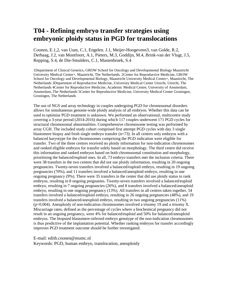#### **T04 - Refining embryo transfer strategies using embryonic ploidy status in PGD for translocations**

Coonen, E.1,2, van Uum, C.1, Engelen. J.1, Meijer-Hoogeveen3, van Golde, R.2, Derhaag, J.2, van Montfoort, A.1, Pieters, M.3, Goddijn, M.4, Brink-van der Vlugt, J.5, Repping, S.4, de Die-Smulders, C.1, Mastenbroek, S.4

1Department of Clinical Genetics, GROW School for Oncology and Developmental Biology Maastricht University Medical Center+, Maastricht, The Netherlands. 2Center for Reproductive Medicine, GROW School for Oncology and Developmental Biology, Maastricht University Medical Centre+, Maastricht, The Netherlands 3Department of Reproductive Medicine, University Medical Center Utrecht, Utrecht, The Netherlands 4Center for Reproductive Medicine, Academic Medical Centre, University of Amsterdam, Amsterdam, The Netherlands 5Center for Reproductive Medicine, University Medical Center Groningen, Groningen, The Netherlands

The use of NGS and array technology in couples undergoing PGD for chromosomal disorders allows for simultaneous genome-wide ploidy analysis of all embryos. Whether this data can be used to optimise PGD treatment is unknown. We performed an observational, multicentre study covering a 3-year period (2014-2016) during which 117 couples underwent 171 PGD cycles for structural chromosomal abnormalities. Comprehensive chromosome testing was performed by array CGH. The included study cohort comprised first attempt PGD cycles with day 3 single blastomere biopsy and fresh single embryo transfer  $(n=73)$ . In all centres only embryos with a balanced karyotype for the chromosomes comprising the PGD indication were eligible for transfer. Two of the three centres received no ploidy information for non-indication chromosomes and ranked eligible embryos for transfer solely based on morphology. The third centre did receive this information and ranked embryos based on both chromosomal constitution and morphology, prioritising the balanced/euploid ones. In all, 73 embryo transfers met the inclusion criteria. There were 38 transfers in the two centres that did not use ploidy information, resulting in 20 ongoing pregnancies. Twenty-seven transfers involved a balanced/euploid embryo, resulting in 19 ongoing pregnancies (70%), and 11 transfers involved a balanced/aneuploid embryo, resulting in one ongoing pregnancy (9%). There were 35 transfers in the center that did use ploidy status to rank embryos, resulting in 8 ongoing pregnanies. Twenty-seven transfers involved a balanced/euploid embryo, resulting in 7 ongoing pregnancies (26%), and 8 transfers involved a balanced/aneuploid embryo, resulting in one ongoing pregnancy (13%). All transfers in all centres taken together, 54 transfers involved a balanced/euploid embryo, resulting in 26 ongoing pregnancies (48%), and 19 transfers involved a balanced/aneuploid embryo, resulting in two ongoing pregnancies (11%) (p=0.004). Aneuploidy of non-indication chromosomes involved a trisomy 19 and a trisomy X. Miscarriage rates, defined as the percentage of cycles where a biochemical pregnancy did not result in an ongoing pregnancy, were 4% for balanced/euploid and 50% for balanced/aneuploid embryos. The biopsied blastomere-inferred embryo genotype of the non-indication chromosomes is thus predictive of the implantation potential. Whether ranking embryos for transfer accordingly improves PGD treatment outcome should be further investigated.

E-mail: edith.coonen@mumc.nl

Keywords: PGD, human embryo, translocation, aneuploidy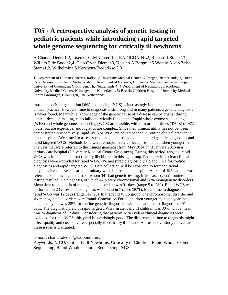### **T05 - A retrospective analysis of genetic testing in pediatric patients while introducing rapid targeted whole genome sequencing for critically ill newborns.**

A Chantal Deden1,2, Lisenka ELM Vissers1,2, RADICON-NL2, Richard J Sinke2,3 , Willem P de Boode2,4, Cleo C van Diemen3, Klasien A.Bergman5 Wendy A van Zelst-Stams1,2, Wilhelmina S Kerstjens-Frederikse.2,3

1) Department of Human Genetics, Radboud University Medical Center, Nijmegen, Netherlands; 2) Dutch Rare Disease consortium, Netherlands 3) Department of Genetics, University Medical Centre Groningen, University of Groningen, Groningen, The Netherlands 4) 4)Department of Neonatology, Radboud University Medical Center, Nijmegen, the Netherlands. 5) Beatrix Children Hospital, University Medical Centre Groningen, Groningen, The Netherlands

Introduction Next generation DNA sequencing (NGS) is increasingly implemented in routine clinical practice. However, time to diagnosis is still long and in many patients a genetic diagnosis is never found. Meanwhile, knowledge of the genetic cause of a disease can be crucial during clinical-decision making, especially in critically ill patients. Rapid whole exome sequencing (WES) and whole genome sequencing (WGS) are feasible, with turn-around-times (TATs) of  $\sim$ 72 hours, but are expensive, and logistics are complex. Since their clinical utility has not yet been demonstrated prospectively, rapid WES or WGS are not embedded in routine clinical practice in most hospitals. We aimed to assess speed and diagnostic yield of standard genetic diagnostics and rapid targeted WGS. Methods Data were retrospectively collected from all children younger than one year that were referred to the clinical geneticist from May 2014 until January 2016 in a tertiary care hospital (University Medical Centre Groningen). During this period, targeted rapid-WGS was implemented for critically ill children in this age group. Patients with a clear clinical diagnosis were excluded for rapid WGS. We measured diagnostic yield and TAT for routine diagnostics and rapid targeted WGS. Data collection will be expanded to four additional hospitals. Results Results are preliminary with data from one hospital. A total of 495 patients was referred to a clinical geneticist, of whom 341 had genetic testing. In 96 cases (28%) routine testing resulted in a diagnosis, of which 42% were chromosomal and 58% monogenetic disorders. Mean time to diagnosis of monogenetic disorders was 91 days (range 5 to 289). Rapid WGS was performed in 23 cases and a diagnosis was found in 7 cases (30%). Mean time to diagnosis of rapid WGS was 12 days (range  $5â\mathcal{C}'23$ ). In the rapid WGS group, one chromosomal disorder and six monogenetic disorders were found. Conclusion For all children younger than one year the diagnostic yield was 28% for routine genetic diagnostics with a mean time to diagnosis of 91 days. The diagnostic yield of rapid targeted WGS in critically ill children was 30%, with a mean time to diagnosis of 12 days. Considering that patients with evident clinical diagnoses were excluded for rapid WGS, this yield is surprisingly good. The difference in time to diagnosis might affect quality and costs of care, especially in critically ill infants. A prospective study to evaluate these issues is warranted.

E-mail: chantal.deden@radboudumc.nl

Keywords: NICU, Critically Ill Newborns, Critically ill Children, Rapid Whole Exome Sequencing, Rapid Whole Genome Sequencing, NGS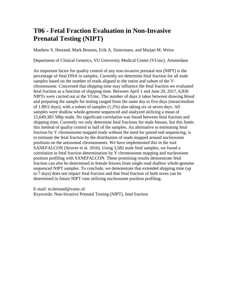### **T06 - Fetal Fraction Evaluation in Non-Invasive Prenatal Testing (NIPT)**

Matthew S. Hestand, Mark Bessem, Erik A. Sistermans, and Marjan M. Weiss

Department of Clinical Genetics, VU University Medical Center (VUmc), Amsterdam

An important factor for quality control of any non-invasive prenatal test (NIPT) is the percentage of fetal DNA in samples. Currently we determine fetal fraction for all male samples based on the number of reads aligned to the entire and subset of the Ychromosome. Concerned that shipping time may influence the fetal fraction we evaluated fetal fraction as a function of shipping time. Between April 1 and June 29, 2017, 6,836 NIPTs were carried out at the VUmc. The number of days it takes between drawing blood and preparing the sample for testing ranged from the same day to five days (mean/median of 1.89/2 days), with a subset of samples (1.2%) also taking six or seven days. All samples were shallow whole-genome sequenced and analyzed utilizing a mean of 15,649,383 50bp reads. No significant correlation was found between fetal fraction and shipping time. Currently we only determine fetal fractions for male fetuses, but this limits this method of quality control to half of the samples. An alternative to estimating fetal fraction by Y chromosome mapped reads without the need for paired end sequencing, is to estimate the fetal fraction by the distribution of reads mapped around nucleosome positions on the autosomal chromosomes. We have implemented this in the tool SANEFALCON (Straver et al. 2016). Using 3,582 male fetal samples, we found a correlation in fetal fraction determination by Y chromosome mapping and nucleosome position profiling with SANEFALCON. These promising results demonstrate fetal fraction can also be determined in female fetuses from single read shallow whole-genome sequenced NIPT samples. To conclude, we demonstrate that extended shipping time (up to 7 days) does not impact fetal fraction and that fetal fraction of both sexes can be determined in future NIPT runs utilizing nucleosome position profiling.

E-mail: m.hestand@vumc.nl

Keywords: Non-Invasive Prenatal Testing (NIPT), fetal fraction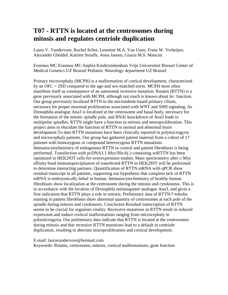### **T07 - RTTN is located at the centrosomes during mitosis and regulates centriole duplication**

Laura V. Vandervore, Rachel Schot, Leontine M.A. Van Unen, Frans W. Verheijen, Alexander Gheldof, Katrien Stouffs, Anna Jansen, Grazia M.S. Mancini

Erasmus MC Erasmus MC-Sophia Kinderziekenhuis Vrije Universiteit Brussel Center of Medical Genetics UZ Brussel Pediatric Neurology department UZ Brussel

Primary microcephaly (MCPH) is a malformation of cortical development, characterized by an OFC = 2SD compared to the age-and sex-matched norm. MCPH most often manifests itself as consequence of an autosomal recessive mutation. Rotatin (RTTN) is a gene previously associated with MCPH, although not much is known about its´ function. Our group previously localized RTTN to the microtubule-based primary cilium, necessary for proper neuronal proliferation associated with WNT and SHH signaling. As Drosophila analogue Ana3 is localized at the centrosome and basal body, necessary for the formation of the mitotic spindle pole, and RNAi knockdown of Ana3 leads to multipolar spindles, RTTN might have a function in mitosis and neuroproliferation. This project aims to elucidate the function of RTTN in normal and abnormal brain development.To date RTTN mutations have been clinically reported in polymicrogyria and microcephaly patients. Our group has gathered patient material from a cohort of 17 patients with homozygous or compound heterozygous RTTN mutations. Immunocytochemistry of endogenous RTTN in control and patient fibroblasts is being performed. Transfection with pcDNA3.1-Myc/HisA(-) containing wtRTTN has been optimized in HEK293T cells for overexpression studies. Mass spectrometry after c-Myc affinity bead immunoprecipitation of transfected RTTN in HEK293T will be performed to determine interacting partners. Quantification of RTTN mRNA with qPCR show residual transcript in all patients, supporting our hypothesis that complete lack of RTTN mRNA is embryonically lethal in human. Immunocytochemistry of healthy human fibroblasts show localization at the centrosome during the mitosis and cytokinesis. This is in accordance with the location of Drosophila melanogaster analogue Ana3, and gives a first indication that RTTN plays a role in mitosis. Preliminary data of RTTN/?-tubulin staining in patient fibroblasts show abnormal quantity of centrosomes at each pole of the spindle during mitosis and cytokinesis. Conclusion Residual transcription of RTTN seems to be crucial for organism vitality. Recessive mutations in RTTN result in reduced expression and induce cortical malformations ranging from microcephaly to polymicrogyria. Our preliminary data indicate that RTTN is located at the centrosomes during mitosis and that recessive RTTN mutations lead to a default in centriole duplication, resulting in aberrant neuroproliferation and cortical development.

E-mail: lauravandervore@hotmail.com

Keywords: Rotatin, centrosome, mitosis, cortical malformations, gene function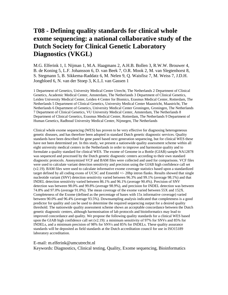### **T08 - Defining quality standards for clinical whole exome sequencing: a national collaborative study of the Dutch Society for Clinical Genetic Laboratory Diagnostics (VKGL)**

M.G. Elferink 1, I. Nijman 1, M.A. Haagmans 2, A.H.B. Bollen 3, R.W.W. Brouwer 4, B. de Koning 5, L.F. Johansson 6, D. van Beek 7, O.R. Mook 2, M. van Slegtenhorst 8, S. Stegmann 5, B. Sikkema-Raddatz 6, M. Nelen 9, Q. Waisfisz 7, M. Weiss 7, J.D.H. Jongbloed 6, N. van der Stoep 3, K.L.I. van Gassen 1

1 Department of Genetics, University Medical Center Utrecht, The Netherlands 2 Department of Clinical Genetics, Academic Medical Center, Amsterdam, The Netherlands 3 Department of Clinical Genetics, Leiden University Medical Center, Leiden 4 Center for Biomics, Erasmus Medical Center, Rotterdam, The Netherlands 5 Department of Clinical Genetics, University Medical Center Maastricht, Maastricht, The Netherlands 6 Department of Genetics, University Medical Center Groningen, Groningen, The Netherlands 7 Department of Clinical Genetics, VU University Medical Center, Amsterdam, The Netherlands 8 Department of Clinical Genetics, Erasmus Medical Center, Rotterdam, The Netherlands 9 Department of Human Genetics, Radboud University Medical Center, Nijmegen, The Netherlands

Clinical whole exome sequencing (WES) has proven to be very effective for diagnosing heterogeneous genetic diseases, and has therefore been adopted in standard Dutch genetic diagnostic services. Quality standards have been described for gene panel based next generation sequencing, but for clinical WES these have not been determined yet. In this study, we present a nationwide quality assessment scheme within all eight university medical centers in the Netherlands in order to improve and harmonize quality and to formulate a quality standard for clinical WES. The exome of Genome in a Bottle (GIAB) sample NA12878 was sequenced and processed by the Dutch genetic diagnostic centers according to their own standard diagnostic protocols. Anonymized VCF and BAM files were collected and used for comparisons. VCF files were used to calculate variant detection sensitivity and precision using the GIAB high confidence call set (v2.19). BAM files were used to calculate informative exome coverage statistics based upon a standardized target defined by all coding exons of UCSC and Ensembl +/- 20bp intron flanks. Results showed that single nucleotide variant (SNV) detection sensitivity varied between 96.3% and 99.1% (average 98.1%) and that INDEL detection sensitivity varied between 86.1% and 96.1% (average 90.4%). Precision of SNV detection was between 98.0% and 99.8% (average 98.9%), and precision for INDEL detection was between 74.8% and 97.0% (average 91.0%). The mean coverage of the exome varied between 55X and 152X. Completeness of the Exome (defined as the percentage of bases with 15x informative coverage) varied between 90.0% and 96.4% (average 93.5%). Downsampling analysis indicated that completeness is a good predictor for quality and can be used to determine the required sequencing output for a desired quality threshold. The nationwide quality assessment scheme shows an acceptable concordance between the Dutch genetic diagnostic centers, although harmonisation of lab protocols and bioinformatics may lead to improved concordance and quality. We propose the following quality standards for a clinical WES based upon the GIAB high confidence call set  $(v2.19)$ : a minimum sensitivity of 97% for SNVs and 85% for INDELs, and a minimum precision of 98% for SNVs and 85% for INDELs. These quality assurance standards will be deposited as field standards at the Dutch accreditation council for use in ISO15189 laboratory accreditation.

E-mail: m.elferink@umcutrecht.nl

Keywords: Diagnostics, Clinical testing, Quality, Exome sequencing, Bioinformatics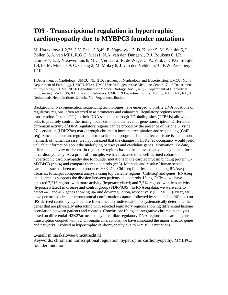#### **T09 - Transcriptional regulation in hypertrophic cardiomyopathy due to MYBPC3 founder mutations**

M. Harakalova 1,2,3\*, J.Y. Pei 1,2,3,4\*, E. Nagyova 1,3, D. Kuster 5, M. Schuldt 5, I. Bollen 5, A. van Mil1, R.G.C. Maas1, N.A. van den Dungen1, B.J. Boukens 6, I.R. Efimov 7, E.E. Nieuwenhuis 8, M.C. Verhaar 2, R. de Weger 3, A. Vink 3, J.P.G. Sluijter 1,4,10, M. Michels 9, C. Cheng 2, M. Mokry 8, J. van den Velden 5,10, F.W. Asselbergs 1,10

1 Department of Cardiology, UMCU, NL; 2 Department of Nephrology and Hypertension, UMCU, NL; 3 Department of Pathology, UMCU, NL; 4 UMC Utrecht Regenerative Medicine Center, NL; 5 Department of Physiology, VUMC,NL; 6 Department of Medical Biology, AMC, NL; 7 Department of Biomedical Engineering, GWU, US; 8 Division of Pediatrics, UMCU, 9 Department of Cardiology, EMC, NL; NL; 9 Netherlands Heart Institute, Utrecht, NL, \*equal contribution

Background: Next-generation sequencing technologies have emerged to profile DNA locations of regulatory regions, often referred to as promoters and enhancers. Regulatory regions recruit transcription factors (TFs) to their DNA sequence through TF binding sites (TFBMs) allowing cells to precisely control the timing, localization and the level of gene transcription. Differential chromatin activity of DNA regulatory regions can be probed by the presence of histone 3 lysine 27 acetylation (H3K27ac) mark through chromatin immunoprecipitation and sequencing (ChIPseq). Since the aberrant regulation of transcriptional programs in the affected tissue is a common hallmark of human disease, we hypothesized that the changes in H3K27ac occupancy would yield valuable information about the underlying pathways and candidate genes. Motivation: To date, differential activity of chromatin regulatory regions has not been investigated in any human form of cardiomyopathy. As a proof of principle, we have focused on a well-defined cohort of hypertrophic cardiomyopathy due to founder mutations in the cardiac myosin binding protein C - MYBPC3 (n=14) and compare them to controls (n=5). Methods and results: Human septal cardiac tissue has been used to produces H3K27ac ChIPseq libraries and matching RNAseq libraries. Principal component analysis using top variable regions (ChIPseq) and genes (RNAseq) in all samples supports the division between patients and controls. Using ChIPseq we have detected 7,216 regions with more activity (hyperacetylated) and 7,214 regions with less activity (hypoacetylated) in disease and control group (FDR<0.05). In RNAseq data, we were able to detect 445 and 492 genes showing up- and downregulation, respectively (FDR<0.05). Next, we have performed circular chromosomal conformation capture followed by sequencing (4C-seq) on IPS-derived cardiomyocyte culture from a healthy individual on to systematically determine the genes that are physically interacting with selected regulatory regions showing differential histone acetylation between patients and controls. Conclusion: Using an integrative chromatin analysis based on differential H3K27ac occupancy of cardiac regulatory DNA regions and cardiac gene transcription coupled with 3D chromatin interactions, we have annotated the major effector genes and networks involved in hypertrophic cardiomyopathy due to MYBPC3 mutations.

E-mail: m.harakalova@umcutrecht.nl

Keywords: chromatin transcriptional regulation, hypetrophic cardiomyopathy, MYBPC3 founder mutation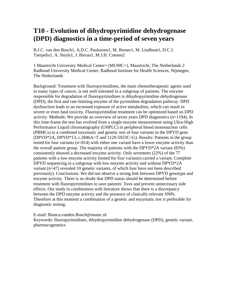#### **T10 - Evolution of dihydropyrimidine dehydrogenase (DPD) diagnostics in a time-period of seven years**

B.J.C. van den Bosch1, A.D.C. Paulussen1, M. Breuer1, M. Lindhout1, D.C.J. Tserpelis1, A. Steyls1, J. Bierau1, M.J.H. Coenen2

1 Maastricht University Medical Center+ (MUMC+), Maastricht, The Netherlands 2 Radboud University Medical Center, Radboud Institute for Health Sciences, Nijmegen, The Netherlands

Background: Treatment with fluoropyrimidines, the main chemotherapeutic agents used in many types of cancer, is not well tolerated in a subgroup of patients. The enzyme responsible for degradation of fluoropyrimidines is dihydropyrimidine dehydrogenase (DPD), the first and rate-limiting enzyme of the pyrimidine degradation pathway. DPD dysfunction leads to an increased exposure of active metabolites, which can result in severe or even fatal toxicity. Fluoropyrimidine treatment can be optimized based on DPD activity. Methods: We provide an overview of seven years DPD diagnostics (n=1194). In this time-frame the test has evolved from a single enzyme measurement using Ultra-High Performance Liquid chromatography (UHPLC) in peripheral blood mononuclear cells (PBMCs) to a combined enzymatic and genetic test of four variants in the DPYD gene (DPYD\*2A, DPYD\*13, c.2846A>T and 1129-5923C>G). Results: Patients in the group tested for four variants (n=814) with either one variant have a lower enzyme activity than the overall patient group. The majority of patients with the DPYD\*2A variant (83%) consistently showed a decreased enzyme activity. Only seventeen (22%) of the 77 patients with a low enzyme activity (tested for four variants) carried a variant. Complete DPYD sequencing in a subgroup with low enzyme activity and without DPYD\*2A variant (n=47) revealed 10 genetic variants, of which four have not been described previously). Conclusions: We did not observe a strong link between DPYD genotype and enzyme activity. There is no doubt that DPD status should be determined before treatment with fluoropyrimidines to save patients´ lives and prevent unnecessary side effects. Our study in combination with literature shows that there is a discrepancy between the DPD enzyme activity and the presence of clinically relevant SNPs. Therefore at this moment a combination of a genetic and enzymatic test is preferable for diagnostic testing.

E-mail: Bianca.vanden.Bosch@mumc.nl Keywords: fluoropyrimidines, dihydropyrimidine dehydrogenase (DPD), genetic variant, pharmacogenetics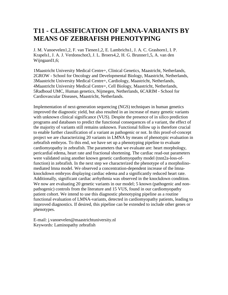### **T11 - CLASSIFICATION OF LMNA-VARIANTS BY MEANS OF ZEBRAFISH PHENOTYPING**

J. M. Vanoevelen1,2, F. van Tienen1,2, E. Lambrichs1, J. A. C. Grashorn1, I. P. Krapels1, J. A. J. Verdonschot3, J. L. Broers4,2, H. G. Brunner1,5, A. van den Wijngaard1,6;

1Maastricht University Medical Centre+, Clinical Genetics, Maastricht, Netherlands, 2GROW - School for Oncology and Developmental Biology, Maastricht, Netherlands, 3Maastricht University Medical Centre+, Cardiology, Maastricht, Netherlands, 4Maastricht University Medical Centre+, Cell Biology, Maastricht, Netherlands, 5Radboud UMC, Human genetics, Nijmegen, Netherlands, 6CARIM - School for Cardiovascular Diseases, Maastricht, Netherlands.

Implementation of next-generation sequencing (NGS) techniques in human genetics improved the diagnostic yield, but also resulted in an increase of many genetic variants with unknown clinical significance (VUS). Despite the presence of in silico prediction programs and databases to predict the functional consequences of a variant, the effect of the majority of variants still remains unknown. Functional follow up is therefore crucial to enable further classification of a variant as pathogenic or not. In this proof-of-concept project we are characterizing 20 variants in LMNA by means of phenotypic evaluation in zebrafish embryos. To this end, we have set up a phenotyping pipeline to evaluate cardiomyopathy in zebrafish. The parameters that we evaluate are: heart morphology, pericardial edema, heart rate and fractional shortening. The cardiac read-out parameters were validated using another known genetic cardiomyopathy model (tnnt2a-loss-offunction) in zebrafish. In the next step we characterized the phenotype of a morpholinomediated lmna model. We observed a concentration-dependent increase of the lmnaknockdown embryos displaying cardiac edema and a significantly reduced heart rate. Additionally, significant cardiac arrhythmia was observed in the knockdown condition. We now are evaluating 20 genetic variants in our model; 5 known (pathogenic and nonpathogenic) controls from the literature and 15 VUS, found in our cardiomyopathy patient cohort. We intend to use this diagnostic phenotyping pipeline as a routine functional evaluation of LMNA-variants, detected in cardiomyopathy patients, leading to improved diagnostics. If desired, this pipeline can be extended to include other genes or phenotypes.

E-mail: j.vanoevelen@maastrichtuniversity.nl Keywords: Laminopathy zebrafish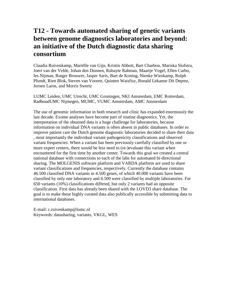### **T12 - Towards automated sharing of genetic variants between genome diagnostics laboratories and beyond: an initiative of the Dutch diagnostic data sharing consortium**

Claudia Ruivenkamp, Mariëlle van Gijn, Kristin Abbott, Bart Charbon, Mariska Slofstra, Joeri van der Velde, Johan den Dunnen, Rubayte Rahman, Maartje Vogel, Ellen Carbo, Ies Nijman, Rutger Brouwer, Jasper Saris, Bart de Koning, Nienke Wieskamp, Rolph Pfundt, Rien Blok, Steven van Vooren, Quinten Waisfisz, Ronald Lekanne Dit Deprez, Jeroen Laros, and Morris Swertz

LUMC Leiden, UMC Utrecht, UMC Groningen, NKI Amsterdam, EMC Rotterdam, RadboudUMC Nijmegen, MUMC, VUMC Amsterdam, AMC Amsterdam

The use of genomic information in both research and clinic has expanded enormously the last decade. Exome analyses have become part of routine diagnostics. Yet, the interpretation of the obtained data is a huge challenge for laboratories, because information on individual DNA variants is often absent in public databases. In order to improve patient care the Dutch genome diagnostic laboratories decided to share their data , most importantly the individual variant pathogenicity classifications and observed variant frequencies. When a variant has been previously carefully classified by one or more expert centers, there would be less need to (re-)evaluate this variant when encountered for the first time by another center. Towards this goal we created a central national database with connections to each of the labs for automated bi-directional sharing. The MOLGENIS software platform and VARDA platform are used to share variant classifications and frequencies, respectively. Currently the database contains 46.500 classified DNA variants in 4.500 genes, of which 40.000 variants have been classified by only one laboratory and 6.500 were classified by multiple laboratories. For 650 variants (10%) classifications differed, but only 2 variants had an opposite classification. First data has already been shared with the LOVD3 share database. The goal is to make these highly curated data also publically accessible by submitting data to international databases.

E-mail: c.ruivenkamp@lumc.nl Keywords: datasharing, variants, VKGL, WES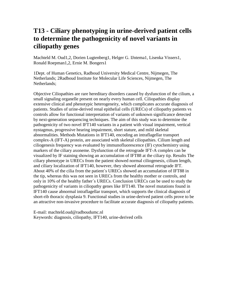### **T13 - Ciliary phenotyping in urine-derived patient cells to determine the pathogenicity of novel variants in ciliopathy genes**

Machteld M. Oud1,2, Dorien Lugtenberg1, Helger G. IJntema1, Lisenka Vissers1, Ronald Roepman1,2, Ernie M. Bongers1

1Dept. of Human Genetics, Radboud University Medical Centre, Nijmegen, The Netherlands; 2Radboud Institute for Molecular Life Sciences, Nijmegen, The Netherlands;

Objective Ciliopathies are rare hereditary disorders caused by dysfunction of the cilium, a small signaling organelle present on nearly every human cell. Ciliopathies display extensive clinical and phenotypic heterogeneity, which complicates accurate diagnosis of patients. Studies of urine-derived renal epithelial cells (URECs) of ciliopathy patients vs controls allow for functional interpretation of variants of unknown significance detected by next-generation sequencing techniques. The aim of this study was to determine the pathogenicity of two novel IFT140 variants in a patient with visual impairment, vertical nystagmus, progressive hearing impairment, short stature, and mild skeletal abnormalities. Methods Mutations in IFT140, encoding an intraflagellar transport complex-A (IFT-A) protein, are associated with skeletal ciliopathies. Cilium length and ciliogenesis frequency was evaluated by immunofluorescence (IF) cytochemistry using markers of the ciliary axoneme. Dysfunction of the retrograde IFT-A complex can be visualized by IF staining showing an accumulation of IFT88 at the ciliary tip. Results The ciliary phenotype in URECs from the patient showed normal ciliogenesis, cilium length, and ciliary localization of IFT140, however, they showed abnormal retrograde IFT. About 40% of the cilia from the patient´s URECs showed an accumulation of IFT88 in the tip, whereas this was not seen in URECs from the healthy mother or controls, and only in 10% of the healthy father´s URECs. Conclusion URECs can be used to study the pathogenicity of variants in ciliopathy genes like IFT140. The novel mutations found in IFT140 cause abnormal intraflagellar transport, which supports the clinical diagnosis of short-rib thoracic dysplasia 9. Functional studies in urine-derived patient cells prove to be an attractive non-invasive procedure to facilitate accurate diagnosis of ciliopathy patients.

E-mail: machteld.oud@radboudumc.nl Keywords: diagnosis, ciliopathy, IFT140, urine-derived cells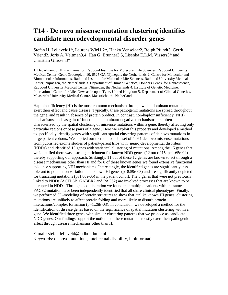#### **T14 - De novo missense mutation clustering identifies candidate neurodevelopmental disorder genes**

Stefan H. Lelieveld1\*, Laurens Wiel1,2\*, Hanka Venselaar2, Rolph Pfundt3, Gerrit Vriend2, Joris A. Veltman3,4, Han G. Brunner3,5, Lisenka E.L.M. Vissers3\* and Christian Gilissen3\*

1. Department of Human Genetics, Radboud Institute for Molecular Life Sciences, Radboud University Medical Center, Geert Grooteplein 10, 6525 GA Nijmegen, the Netherlands 2. Centre for Molecular and Biomolecular Informatics, Radboud Institute for Molecular Life Sciences, Radboud University Medical Center, Nijmegen, the Netherlands 3. Department of Human Genetics, Donders Centre for Neuroscience, Radboud University Medical Center, Nijmegen, the Netherlands 4. Institute of Genetic Medicine, International Centre for Life, Newcastle upon Tyne, United Kingdom 5. Department of Clinical Genetics, Maastricht University Medical Centre, Maastricht, the Netherlands

Haploinsufficiency (HI) is the most common mechanism through which dominant mutations exert their effect and cause disease. Typically, these pathogenic mutations are spread throughout the gene, and result in absence of protein product. In contrast, non-haploinsufficiency (NHI) mechanisms, such as gain-of-function and dominant-negative mechanisms, are often characterized by the spatial clustering of missense mutations within a gene, thereby affecting only particular regions or base pairs of a gene . Here we exploit this property and developed a method to specifically identify genes with significant spatial clustering patterns of de novo mutations in large patient cohorts. We applied our method to a dataset of 4,061 de novo missense mutations from published exome studies of patient-parent trios with (neuro)developmental disorders (NDDs) and identified 15 genes with statistical clustering of mutations. Among the 15 genes that we identified there was a strong enrichment for known NDD genes (12 out of 15, p=1.65e-04) thereby supporting our approach. Strikingly, 11 out of these 12 genes are known to act through a disease mechanisms other than HI and for 8 of these known genes we found extensive functional evidence supporting NHI mechanisms. Interestingly, the identified genes are significantly less tolerant to population variation than known HI genes (p=8.59e-03) and are significantly depleted for truncating mutations (p?1.00e-05) in the patient cohort. The 3 genes that were not previously linked to NDDs (ACTL6B, GABBR2 and PACS2) are involved processes that are known to be disrupted in NDDs. Through a collaboration we found that multiple patients with the same PACS2 mutation have been independently identified that all share clinical phenotypes. Finally, we performed 3D-modeling of protein structures to show that, unlike known HI genes, clustering mutations are unlikely to affect protein folding and more likely to disturb protein interactions/complex formation (p=1.26E-03). In conclusion, we developed a method for the identification of disease genes based on the significance of spatial mutation clustering within a gene. We identified three genes with similar clustering patterns that we propose as candidate NDD genes. Our findings support the notion that these mutations mostly exert their pathogenic effect through disease mechanisms other than HI.

E-mail: stefan.lelieveld@radboudumc.nl Keywords: de novo mutations, intellectual disability, bioinformatics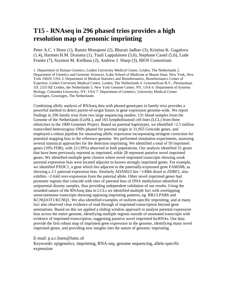### **T15 - RNAseq in 296 phased trios provides a high resolution map of genomic imprinting**

Peter A.C. 't Hoen (1), Ramin Monajemi (2), Bharati Jadhav (3), Kristina K. Gagalova (1,4), Harmen H.M. Draisma (1), Tuuli Lappalainen (5,6), Stephane Castel (5,6), Lude Franke (7), Szymon M. Kielbasa (2), Andrew J. Sharp (3), BIOS Consortium

1. Department of Human Genetics, Leiden University Medical Center, Leiden, The Netherlands 2. Department of Genetics and Genomic Sciences, Icahn School of Medicine at Mount Sinai, New York, New York 10029, USA 3. Department of Medical Statistics and Bioinformatics, Bioinformatics Center of Expertise, Leiden University Medical Center, Leiden, The Netherlands 4. GenomeScan B.V., Plesmanlaan 1D, 2333 BZ Leiden, the Netherlands 5. New York Genome Center, NY, USA 6. Department of Systems Biology, Columbia University, NY, USA 7. Department of Genetics, University Medical Center Groningen, Groningen, The Netherlands

Combining allelic analysis of RNAseq data with phased genotypes in family trios provides a powerful method to detect parent-of-origin biases in gene expression genome-wide. We report findings in 296 family trios from two large sequencing studies: 131 blood samples from the Genome of the Netherlands (GoNL), and 165 lymphoblastoid cell lines (LCL) from three ethnicities in the 1000 Genomes Project. Based on parental haplotypes, we identified >2.5 million transcribed heterozygous SNPs phased for parental origin in 31,955 Gencode genes, and employed a robust pipeline for measuring allelic expression incorporating stringent correction for potential mapping bias to the reference genome. We performed simulation experiments, assessing several statistical approaches for the detection imprinting. We identified a total of 59 imprinted genes (10% FDR), with 23 (39%) observed in both populations. Our analysis identified 31 genes that have been previously reported as imprinted, while 28 represent putative novel imprinted genes. We identified multiple gene clusters where novel imprinted transcripts showing weak parental expression bias were located adjacent to known strongly imprinted genes. For example, we identified PXDC1, a gene which lies adjacent to the paternally-expressed gene FAM50B, as showing a 2:1 paternal expression bias. Similarly ADAM23 lies ~130kb distal to ZDBF2, also exhibits ~2-fold over-expression from the paternal allele. Other novel imprinted genes had promoter regions that coincide with sites of parental bias of DNA methylation identified in uniparental disomy samples, thus providing independent validation of our results. Using the stranded nature of the RNAseq data in LCLs we identified multiple loci with overlapping sense/antisense transcripts showing opposing imprinting patterns, eg. RB1/LPAR6 and KCNQ1OT1/KCNQ1. We also identified examples of isoform-specific imprinting, and at many loci also observed clear evidence of read through of imprinted transcription beyond gene annotations. Based on this we applied a sliding window approach to analyze parental expression bias across the entire genome, identifying multiple regions outside of annotated transcripts with evidence of imprinted transcription, suggesting putative novel imprinted lncRNAs. Our data provide the first robust map of imprinted gene expression in the genome, identifying many novel imprinted genes, and providing new insights into the nature of genomic imprinting.

E-mail: p.a.c.hoen@lumc.nl

Keywords: epigenetics, imprinting, RNA-seq, genome sequencing, allele-specific expression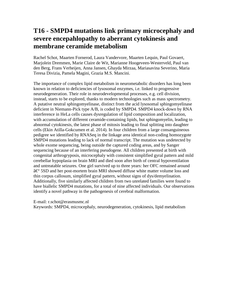### **T16 - SMPD4 mutations link primary microcephaly and severe encepahlopathy to aberrant cytokinesis and membrane ceramide metabolism**

Rachel Schot, Maarten Fornerod, Laura Vandervore, Maarten Lequin, Paul Govaert, Marjolein Dremmen, Marie Claire de Wit, Marianne Hoogeveen-Westerveld, Paul van den Berg, Frans Verheijen, Anna Jansen, Ghayda Mirzaa, Mariasavina Severino, Maria Teresa Divizia, Pamela Magini, Grazia M.S. Mancini.

The importance of complex lipid metabolism in neurometabolic disorders has long been known in relation to deficiencies of lysosomal enzymes, i.e. linked to progressive neurodegeneration. Their role in neurodevelopmental processes, e.g. cell division, instead, starts to be explored, thanks to modern technologies such as mass spectrometry. A putative neutral sphingomyelinase, distinct from the acid lysosomal sphingomyelinase deficient in Niemann-Pick type A/B, is coded by SMPD4. SMPD4 knock-down by RNA interference in HeLa cells causes dysregulation of lipid composition and localization, with accumulation of different ceramide-containing lipids, but sphingomyelin, leading to abnormal cytokinesis, the latest phase of mitosis leading to final splitting into daughter cells (Ekin Atilla-Gokcumen et al. 2014). In four children from a large consanguineous pedigree we identified by RNASeq in the linkage area identical non-coding homozygote SMPD4 mutations leading to lack of normal transcript. The mutation was undetected by whole exome sequencing, being outside the captured coding areas, and by Sanger sequencing because of an interfering pseudogene. All children presented at birth with congenital arthrogryposis, microcephaly with consistent simplified gyral pattern and mild cerebellar hypoplasia on brain MRI and died soon after birth of central hypoventilation and untreatable seizures. One girl survived up to three years: her OFC remained around †5SD and her post-mortem brain MRI showed diffuse white matter volume loss and thin corpus callosum, simplified gyral pattern, without signs of dys/demyelination. Additionally, five similarly affected children from two unrelated families were found to have biallelic SMPD4 mutations, for a total of nine affected individuals. Our observations identify a novel pathway in the pathogenesis of cerebral malformation.

E-mail: r.schot@erasmusmc.nl

Keywords: SMPD4, microcephaly, neurodegeneration, cytokinesis, lipid metabolism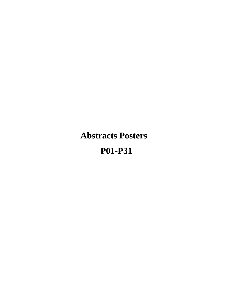**Abstracts Posters P01-P31**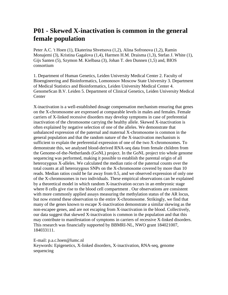### **P01 - Skewed X-inactivation is common in the general female population**

Peter A.C. 't Hoen (1), Ekaterina Shvetsova (1,2), Alina Sofronova (1,2), Ramin Monajemi (3), Kristina Gagalova (1,4), Harmen H.M. Draisma (1,3), Stefan J. White (1), Gijs Santen (5), Szymon M. Kielbasa (3), Johan T. den Dunnen (1,5) and, BIOS consortium

1. Department of Human Genetics, Leiden University Medical Center 2. Faculty of Bioengineering and Bioinformatics, Lomonosov Moscow State University 3. Department of Medical Statistics and Bioinformatics, Leiden University Medical Center 4. GenomeScan B.V. Leiden 5. Department of Clinical Genetics, Leiden University Medical **Center** 

X-inactivation is a well-established dosage compensation mechanism ensuring that genes on the X-chromosome are expressed at comparable levels in males and females. Female carriers of X-linked recessive disorders may develop symptoms in case of preferential inactivation of the chromosome carrying the healthy allele. Skewed X-inactivation is often explained by negative selection of one of the alleles. We demonstrate that unbalanced expression of the paternal and maternal X-chromosome is common in the general population and that the random nature of the X-inactivation mechanism is sufficient to explain the preferential expression of one of the two X-chromosomes. To demonstrate this, we analysed blood-derived RNA-seq data from female children from the Genome-of-the-Netherlands (GoNL) project. In the GoNL project trio whole genome sequencing was performed, making it possible to establish the parental origin of all heterozygous X-alleles. We calculated the median ratio of the paternal counts over the total counts at all heterozygous SNPs on the X-chromosome covered by more than 10 reads. Median ratios could be far away from 0.5, and we observed expression of only one of the X-chromosomes in two individuals. These empirical observations can be explained by a theoretical model in which random X-inactivation occurs in an embryonic stage where 8 cells give rise to the blood cell compartment . Our observations are consistent with more commonly applied assays measuring the methylation status of the AR locus, but now extend these observation to the entire X-chromosome. Strikingly, we find that many of the genes known to escape X-inactivation demonstrate a similar skewing as the non-escapee genes, and are not escaping from X-inactivation in the blood. Collectively, our data suggest that skewed X-inactivation is common in the population and that this may contribute to manifestation of symptoms in carriers of recessive X-linked disorders. This research was financially supported by BBMRI-NL, NWO grant 184021007, 184033111.

E-mail: p.a.c.hoen@lumc.nl Keywords: Epigenetics, X-linked disorders, X-inactivation, RNA-seq, genome sequencing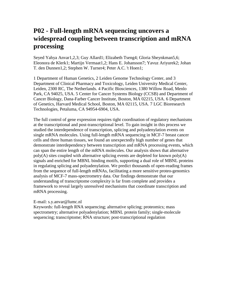### **P02 - Full-length mRNA sequencing uncovers a widespread coupling between transcription and mRNA processing**

Seyed Yahya Anvar1,2,3; Guy Allard1; Elizabeth Tseng4; Gloria Sheynkman5,6; Eleonora de Klerk1; Martijn Vermaat1,2; Hans E. Johansson7; Yavuz Ariyurek2; Johan T. den Dunnen1,2; Stephen W. Turner4; Peter A.C. 't Hoen1;

1 Department of Human Genetics, 2 Leiden Genome Technology Center, and 3 Department of Clinical Pharmacy and Toxicology, Leiden University Medical Center, Leiden, 2300 RC, The Netherlands. 4 Pacific Biosciences, 1380 Willow Road, Menlo Park, CA 94025, USA. 5 Center for Cancer Systems Biology (CCSB) and Department of Cancer Biology, Dana-Farber Cancer Institute, Boston, MA 02215, USA. 6 Department of Genetics, Harvard Medical School, Boston, MA 02115, USA. 7 LGC Bioresearch Technologies, Petaluma, CA 94954-6904, USA.

The full control of gene expression requires tight coordination of regulatory mechanisms at the transcriptional and post-transcriptional level. To gain insight in this process we studied the interdependence of transcription, splicing and polyadenylation events on single mRNA molecules. Using full-length mRNA sequencing in MCF-7 breast cancer cells and three human tissues, we found an unexpectedly high number of genes that demonstrate interdependency between transcription and mRNA processing events, which can span the entire length of the mRNA molecules. Our analysis shows that alternative poly(A) sites coupled with alternative splicing events are depleted for known poly(A) signals and enriched for MBNL binding motifs, supporting a dual role of MBNL proteins in regulating splicing and polyadenylation. We predict thousands of open-reading frames from the sequence of full-length mRNAs, facilitating a more sensitive proteo-genomics analysis of MCF-7 mass-spectrometry data. Our findings demonstrate that our understanding of transcriptome complexity is far from complete and provides a framework to reveal largely unresolved mechanisms that coordinate transcription and mRNA processing.

#### E-mail: s.y.anvar@lumc.nl

Keywords: full-length RNA sequencing; alternative splicing; proteomics; mass spectrometry; alternative polyadenylation; MBNL protein family; single-molecule sequencing; transcriptome; RNA structure; post-transcriptional regulation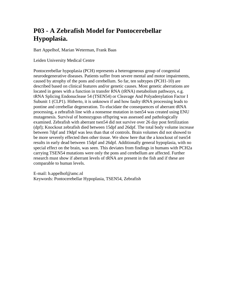### **P03 - A Zebrafish Model for Pontocerebellar Hypoplasia.**

Bart Appelhof, Marian Weterman, Frank Baas

Leiden University Medical Centre

Pontocerebellar hypoplasia (PCH) represents a heterogeneous group of congenital neurodegenerative diseases. Patients suffer from severe mental and motor impairments, caused by atrophy of the pons and cerebellum. So far, ten subtypes (PCH1-10) are described based on clinical features and/or genetic causes. Most genetic aberrations are located in genes with a function in transfer RNA (tRNA) metabolism pathways, e.g. tRNA Splicing Endonuclease 54 (TSEN54) or Cleavage And Polyadenylation Factor I Subunit 1 (CLP1). Hitherto, it is unknown if and how faulty tRNA processing leads to pontine and cerebellar degeneration. To elucidate the consequences of aberrant tRNA processing, a zebrafish line with a nonsense mutation in tsen54 was created using ENU mutagenesis. Survival of homozygous offspring was assessed and pathologically examined. Zebrafish with aberrant tsen54 did not survive over 26 day post fertilization (dpf); Knockout zebrafish died between 15dpf and 26dpf. The total body volume increase between 7dpf and 19dpf was less than that of controls. Brain volumes did not showed to be more severely effected then other tissue. We show here that the a knockout of tsen54 results in early dead between 15dpf and 26dpf. Additionally general hypoplasia, with no special effect on the brain, was seen. This deviates from findings in humans with PCH2a carrying TSEN54 mutations were only the pons and cerebellum are affected. Further research must show if aberrant levels of tRNA are present in the fish and if these are comparable to human levels.

E-mail: b.appelhof@amc.nl Keywords: Pontocerebellar Hypoplasia, TSEN54, Zebrafish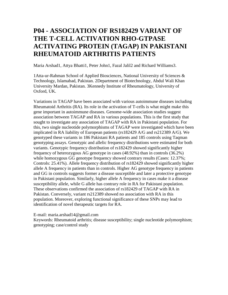### **P04 - ASSOCIATION OF RS182429 VARIANT OF THE T-CELL ACTIVATION RHO-GTPASE ACTIVATING PROTEIN (TAGAP) IN PAKISTANI RHEUMATOID ARTHRITIS PATIENTS**

Maria Arshad1, Attya Bhatti1, Peter John1, Fazal Jalil2 and Richard Williams3.

1Atta-ur-Rahman School of Applied Biosciences, National University of Sciences & Technology, Islamabad, Pakistan. 2Department of Biotechnology, Abdul Wali Khan University Mardan, Pakistan. 3Kennedy Institute of Rheumatology, University of Oxford, UK.

Variations in TAGAP have been associated with various autoimmune diseases including Rheumatoid Arthritis (RA). Its role in the activation of T-cells is what might make this gene important in autoimmune diseases. Genome-wide association studies suggest association between TAGAP and RA in various populations. This is the first study that sought to investigate any association of TAGAP with RA in Pakistani population. For this, two single nucleotide polymorphisms of TAGAP were investigated which have been implicated in RA liability of European patients (rs182429 A/G and rs212389 A/G). We genotyped these variants in 186 Pakistani RA patients and 185 controls using Taqman genotyping assays. Genotypic and allelic frequency distributions were estimated for both variants. Genotypic frequency distribution of rs182429 showed significantly higher frequency of heterozygous AG genotype in cases (48.92%) than in controls (36.2%) while homozygous GG genotype frequency showed contrary results (Cases: 12.37%; Controls: 25.41%). Allele frequency distribution of rs182429 showed significantly higher allele A frequency in patients than in controls. Higher AG genotype frequency in patients and GG in controls suggests former a disease susceptible and later a protective genotype in Pakistani population. Similarly, higher allele A frequency in cases make it a disease susceptibility allele, while G allele has contrary role in RA for Pakistani population. These observations confirmed the association of rs182429 of TAGAP with RA in Pakistan. Conversely, variant rs212389 showed no association with RA in this population. Moreover, exploring functional significance of these SNPs may lead to identification of novel therapeutic targets for RA.

E-mail: maria.arshad14@gmail.com

Keywords: Rheumatoid arthritis; disease susceptibility; single nucleotide polymorphism; genotyping; case/control study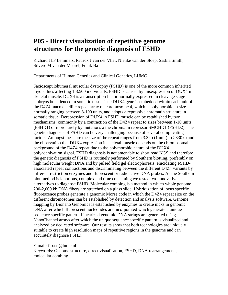#### **P05 - Direct visualization of repetitive genome structures for the genetic diagnosis of FSHD**

Richard JLF Lemmers, Patrick J van der Vliet, Nienke van der Stoep, Saskia Smith, Silvère M van der Maarel, Frank Ba

Departments of Human Genetics and Clinical Genetics, LUMC

Facioscapulohumeral muscular dystrophy (FSHD) is one of the more common inherited myopathies affecting 1:8,500 individuals. FSHD is caused by misexpression of DUX4 in skeletal muscle. DUX4 is a transcription factor normally expressed in cleavage stage embryos but silenced in somatic tissue. The DUX4 gene is embedded within each unit of the D4Z4 macrosatellite repeat array on chromosome 4, which is polymorphic in size normally ranging between 8-100 units, and adopts a repressive chromatin structure in somatic tissue. Derepression of DUX4 in FSHD muscle can be established by two mechanisms: commonly by a contraction of the D4Z4 repeat to sizes between 1-10 units (FSHD1) or more rarely by mutations a the chromatin repressor SMCHD1 (FSHD2). The genetic diagnosis of FSHD can be very challenging because of several complicating factors. Amongst these are the size of the repeat ranges from 3.3kb (1 unit) to >330kb and the observation that DUX4 expression in skeletal muscle depends on the chromosomal background of the D4Z4 repeat due to the polymorphic nature of the DUX4 polyadenlyation signal. FSHD diagnosis is not amenable to short read NGS and therefore the genetic diagnosis of FSHD is routinely performed by Southern blotting, preferably on high molecular weight DNA and by pulsed field gel electrophoresis, elucidating FSHDassociated repeat contractions and discriminating between the different D4Z4 variants by different restriction enzymes and fluorescent or radioactive DNA probes. As the Southern blot method is laborious, complex and time consuming we tested two innovative alternatives to diagnose FSHD. Molecular combing is a method in which whole genome 200-2,000 kb DNA fibers are stretched on a glass slide. Hybridization of locus specific fluorescence probes generate a genomic Morse code in which the D4Z4 repeat size on the different chromosomes can be established by detection and analysis software. Genome mapping by Bionano Genomics is established by enzymes to create nicks in genomic DNA after which fluorescent nucleotides are incorporated which generate a unique sequence specific pattern. Linearized genomic DNA strings are generated using NanoChannel arrays after which the unique sequence specific pattern is visualized and analyzed by dedicated software. Our results show that both technologies are uniquely suitable to create high resolution maps of repetitive regions in the genome and can accurately diagnose FSHD.

E-mail: f.baas@lumc.nl Keywords: Genome structure, direct visualisation, FSHD, DNA rearrangements, molecular combing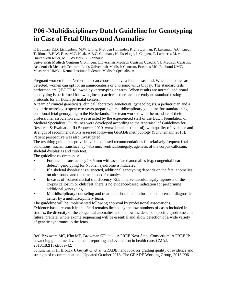### **P06 -Multidisciplinary Dutch Guideline for Genotyping in Case of Fetal Ultrasound Anomalies**

K Bouman, K.D. Lichtenbelt, M.W. Elting, N.S. den Hollander, K.E. Stuurman, P. Lakeman, A.C. Knegt, T. Rinne, B.H.W. Faas, M.C. Haak, A.B.C. Coumans, H. IJsselstijn, I. Cuppen, T. Lamberts, M. van Buuren-van Ruler, M.E. Wessels, K. Venhorst

Universitair Medisch Centrum Groningen, Universitair Medisch Centrum Utrecht, VU Medisch Centrum, Academisch Medisch Centrum, Leids Universitair Medisch Centrum, Erasmus MC, Radboud UMC, Maastricht UMC+, Kennis Instituut Federatie Medisch Specialisten

Pregnant women in the Netherlands can choose to have a fetal ultrasound. When anomalies are detected, women can opt for an amniocentesis or chorionic villus biopsy. The standard tests performed are QF-PCR followed by karyotyping or array. When results are normal, additional genotyping is performed following local practice as there are currently no standard testing protocols for all Dutch perinatal centers.

A team of clinical geneticists, clinical laboratory geneticists, gynecologists, a pediatrician and a pediatric neurologist spent two years preparing a multidisciplinary guideline for standardizing additional fetal genotyping in the Netherlands. The team worked with the mandate of their professional association and was assisted by the experienced staff of the Dutch Foundation of Medical Specialists. Guidelines were developed according to the Appraisal of Guidelines for Research & Evaluation II (Brouwers 2010, www.kennisinstituut.nl), with quality of evidence and strength of recommendations assessed following GRADE methodology (Schünemann 2013). Patient perspective was also investigated.

The resulting guidelines provide evidence-based recommendations for relatively frequent fetal conditions: nuchal translucency >3.5 mm, ventriculomegaly, agenesis of the corpus callosum, skeletal dysplasias and club feet.

The guideline recommends:

- For nuchal translucency  $>3.5$  mm with associated anomalies (e.g. congenital heart defect), genotyping for Noonan syndrome is indicated.
- If a skeletal dysplasia is suspected, additional genotyping depends on the fetal anomalies on ultrasound and the time needed for analysis.
- In cases of isolated nuchal translucency > 3.5 mm, ventriculomegaly, agenesis of the corpus callosum or club feet, there is no evidence-based indication for performing additional genotyping.
- Multidisciplinary counseling and treatment should be performed in a prenatal diagnostic center by a multidisciplinary team.

The guideline will be implemented following approval by professional associations. Evidence-based research in this field remains limited by the low numbers of cases included in studies, the diversity of the congenital anomalies and the low incidence of specific syndromes. In future, prenatal whole exome sequencing will be essential and allow detection of a wide variety of genetic syndromes in the fetus.

Ref: Brouwers MC, Kho ME, Browman GP, et al. AGREE Next Steps Consortium. AGREE II: advancing guideline development, reporting and evaluation in health care. CMAJ. 2010;182(18):E839-42.

Schünemann H, Brożek J, Guyatt G, et al. GRADE handbook for grading quality of evidence and strength of recommendations. Updated October 2013. The GRADE Working Group, 2013.P06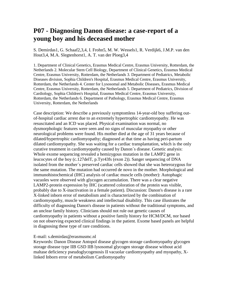#### **P07 - Diagnosing Danon disease: a case-report of a young boy and his deceased mother**

S. Demirdas1, G. Schaaf2,3,4, I. Frohn5, M. W. Wessels1, R. Verdijk6, J.M.P. van den Hout3,4, M.A. Slegtenhorst1, A. T. van der Ploeg3,4

1. Department of Clinical Genetics, Erasmus Medical Centre, Erasmus University, Rotterdam, the Netherlands 2. Molecular Stem Cell Biology, Department of Clinical Genetics, Erasmus Medical Centre, Erasmus University, Rotterdam, the Netherlands 3. Department of Pediatrics, Metabolic Diseases division, Sophia Children's Hospital, Erasmus Medical Centre, Erasmus University, Rotterdam, the Netherlands 4. Center for Lysosomal and Metabolic Diseases, Erasmus Medical Centre, Erasmus University, Rotterdam, the Netherlands 5. Department of Pediatrics, Division of Cardiology, Sophia Children's Hospital, Erasmus Medical Centre, Erasmus University, Rotterdam, the Netherlands 6. Department of Pathology, Erasmus Medical Centre, Erasmus University, Rotterdam, the Netherlands

Case description: We describe a previously symptomless 14-year-old boy suffering outof-hospital cardiac arrest due to an extremely hypertrophic cardiomyopathy. He was resuscitated and an ICD was placed. Physical examination was normal, no dysmorphologic features were seen and no signs of muscular myopathy or other neurological problems were found. His mother died at the age of 31 years because of dilated/hypertrophic cardiomyopathy; diagnosed at that time as having peri-partum dilated cardiomyopathy. She was waiting for a cardiac transplantation, which is the only curative treatment in cardiomyopathy caused by Danon´s disease. Genetic analysis: Whole exome sequencing revealed a hemizygous mutation in the LAMP2 gene in leucocytes of the boy (c.127delT, p.Tyr43fs (exon 2)). Sanger sequencing of DNA isolated from the mother´s preserved cardiac cells showed that she was heterozygous for the same mutation. The mutation had occurred de novo in the mother. Morphological and immunohistochemical (IHC) analysis of cardiac muscle cells (mother): Autophagic vacuoles were observed with glycogen accumulation. There was a clear negative LAMP2-protein expression by IHC (scattered coloration of the protein was visible, probably due to X-inactivation in a female patient). Discussion: Danon's disease is a rare X-linked inborn error of metabolism and is characterized by the combination of cardiomyopathy, muscle weakness and intellectual disability. This case illustrates the difficulty of diagnosing Danon's disease in patients without the traditional symptoms, and an unclear family history. Clinicians should not rule out genetic causes of cardiomyopathy in patients without a positive family history for HCM/DCM, nor based on not observing expected clinical findings in the patient. Exome based panels are helpful in diagnosing these type of rare conditions.

#### E-mail: s.demirdas@erasmusmc.nl

Keywords: Danon Disease Antopol disease glycogen storage cardiomyopathy glycogen storage disease type IIB GSD IIB lysosomal glycogen storage disease without acid maltase deficiency pseudoglycogenosis II vacuolar cardiomyopathy and myopathy, Xlinked Inborn error of metabolism Cardiomyopathy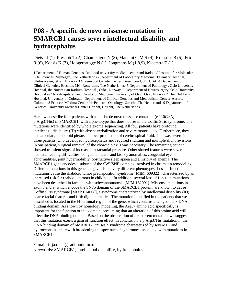#### **P08 - A specific de novo missense mutation in SMARCB1 causes severe intellectual disability and hydrocephalus**

#### Diets I.J.(1), Prescott T.(2), Champaigne N.(3), Mancini G.M.S.(4), Krossnes B.(5), Fric R.(6), Kocsis K.(7), Hoogerbrugge N.(1), Jongmans M.(1,8,9), Kleefstra T.(1)

1 Department of Human Genetics, Radboud university medical center and Radboud Institute for Molecular Life Sciences, Nijmegen, The Netherlands 2 Department of Laboratory Medicine, Telemark Hospital, Ulefossveien, Skien, Norway 3 Greenwood Genetic Center, Greenwood, SC, USA. 4 Department of Clinical Genetics, Erasmus MC, Rotterdam, The Netherlands. 5 Department of Pathology , Oslo University Hospital, the Norwegian Radium Hospital , Oslo , Norway. 6 Department of Neurosurgery, Oslo University Hospital †Rikshospitalet, and Faculty of Medicine, University of Oslo, Oslo, Norway 7 The Children's Hospital, University of Colorado, Department of Clinical Genetics and Metabolism, Denver-Aurora, Colorado 8 Princess Máxima Center for Pediatric Oncology, Utrecht, The Netherlands 9 Department of Genetics, University Medical Center Utrecht, Utrecht, The Netherlands

Here, we describe four patients with a similar de novo missense mutation  $(c.110G>A;$ p.Arg37His) in SMARCB1, with a phenotype that does not resemble Coffin Siris syndrome. The mutations were identified by whole exome sequencing. All four patients have profound intellectual disability (ID) with absent verbalization and severe motor delay. Furthermore, they had an enlarged choroid plexus and overproduction of cerebrospinal fluid. This was severe in three patients, who developed hydrocephalus and required shunting and multiple shunt revisions. In one patient, surgical removal of the choroid plexus was necessary. The remaining patient showed transient signs of increased intracranial pressure. Other shared features were severe neonatal feeding difficulties, congenital heart- and kidney anomalies, congenital eye abnormalities, joint hypermobility, obstructive sleep apnea and a history of anemia. The SMARCB1 gene encodes a subunit of the SWI/SNF-complex involved in chromatin remodeling. Different mutations in this gene can give rise to very different phenotypes. Loss of function mutations cause the rhabdoid tumor predisposition syndrome [MIM: 609322], characterized by an increased risk for rhabdoid tumors in childhood. In addition, several loss of function mutations have been described in families with schwannomatosis [MIM:162091]. Missense mutations in exon 8 and 9, which encode the SNF5 domain of the SMARCB1 protein, are known to cause Coffin Siris syndrome [MIM: 614608], a syndrome characterized by intellectual disability (ID), coarse facial features and fifth digit anomalies. The mutation identified in the patients that we described is located in the N-terminal region of the gene, which contains a winged helix DNA binding domain. As shown by homology modeling, the Arg37 amino acid specifically is important for the function of this domain, presuming that an alteration of this amino acid will affect the DNA binding domain. Based on the observation of a recurrent mutation, we suggest that this mutation exerts a gain of function effect. In conclusion, a p.Arg37His mutation in the DNA binding domain of SMARCB1 causes a syndrome characterized by severe ID and hydrocephalus, therewith broadening the spectrum of syndromes associated with mutations in SMARCB1.

E-mail: illja.diets@radboudumc.nl Keywords: SMARCB1, intellectual disability, hydrocephalus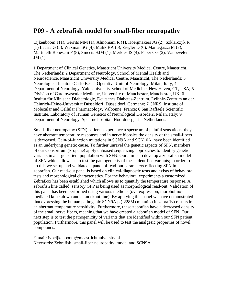#### **P09 - A zebrafish model for small-fiber neuropathy**

Eijkenboom I (1), Gerrits MM (1), Almomani R (1), Hoeijmakers JG (2), Szklarczyk R (1) Lauria G (3), Waxman SG (4), Malik RA (5), Ziegler D (6), Mantegazza M (7), Martinelli Boneschi F (8), Smeets HJM (1), Merkies IS (4), Faber CG (2), Vanoevelen  $JM(1)$ 

1 Department of Clinical Genetics, Maastricht University Medical Centre, Maastricht, The Netherlands; 2 Department of Neurology, School of Mental Health and Neuroscience, Maastricht University Medical Centre, Maastricht, The Netherlands; 3 Neurological Institute Carlo Besta, Operative Unit of Neurology, Milan, Italy; 4 Department of Neurology, Yale University School of Medicine, New Haven, CT, USA; 5 Division of Cardiovascular Medicine, University of Manchester, Manchester, UK; 6 Institut für Klinische Diabetologie, Deutsches Diabetes-Zentrum, Leibniz-Zentrum an der Heinrich-Heine-Universität Düsseldorf, Düsseldorf, Germany; 7 CNRS, Institute of Molecular and Cellular Pharmacology, Valbonne, France; 8 San Raffaele Scientific Institute, Laboratory of Human Genetics of Neurological Disorders, Milan, Italy; 9 Department of Neurology, Spaarne hospital, Hoofddorp, The Netherlands.

Small-fiber neuropathy (SFN) patients experience a spectrum of painful sensations; they have aberrant temperature responses and in nerve biopsies the density of the small-fibers is decreased. Gain-of-function mutations in SCN9A and SCN10A, have been identified as an underlying genetic cause. To further unravel the genetic aspects of SFN, members of our Consortium (Propane) apply unbiased sequencing approaches to identify genetic variants in a large patient population with SFN. Our aim is to develop a zebrafish model of SFN which allows us to test the pathogenicity of these identified variants; in order to do this we set up and validated a panel of read-out parameters reflecting SFN in zebrafish. Our read-out panel is based on clinical-diagnostic tests and exists of behavioral tests and morphological characteristics. For the behavioral experiments a customized ZebraBox has been established which allows us to quantify the temperature response. A zebrafish line called; sensory:GFP is being used as morphological read-out. Validation of this panel has been performed using various methods (overexpression, morpholinomediated knockdown and a knockout line). By applying this panel we have demonstrated that expressing the human pathogenic SCN9A p.(I228M) mutation in zebrafish results in an aberrant temperature sensitivity. Furthermore, these zebrafish have a decreased density of the small nerve fibers, meaning that we have created a zebrafish model of SFN. Our next step is to test the pathogenicity of variants that are identified within our SFN patient population. Furthermore, this panel will be used to test the analgesic properties of novel compounds.

E-mail: ivoeijkenboom@maastrichtuniversity.nl Keywords: Zebrafish, small-fiber neuropathy, model and SCN9A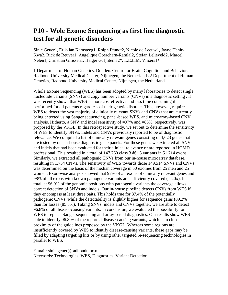#### **P10 - Wole Exome Sequencing as first line diagnostic test for all genetic disorders**

Sinje Geuer1, Erik-Jan Kamsteeg1, Rolph Pfundt2, Nicole de Leeuw1, Jayne Hehir-Kwa2, Rick de Reuver1, Angelique Goercharn-Ramlal2, Stefan Lelieveld2, Marcel Nelen1, Christian Gilissen1, Helger G. Ijntema2\*, L.E.L.M. Vissers1\*

1 Department of Human Genetics, Donders Centre for Brain, Cognition and Behavior, Radboud University Medical Center, Nijmegen, the Netherlands 2 Department of Human Genetics, Radboud University Medical Center, Nijmegen, the Netherlands

Whole Exome Sequencing (WES) has been adopted by many laboratories to detect single nucleotide variants (SNVs) and copy number variants (CNVs) in a diagnostic setting . It was recently shown that WES is more cost effective and less time consuming if performed for all patients regardless of their genetic disorder. This, however, requires WES to detect the vast majority of clinically relevant SNVs and CNVs that are currently being detected using Sanger sequencing, panel-based WES, and microarray-based CNV analysis. Hitherto, a SNV and indel sensitivity of  $=97\%$  and  $=85\%$ , respectively, was proposed by the VKGL. In this retrospective study, we set out to determine the sensitivity of WES to identify SNVs, indels and CNVs previously reported to be of diagnostic relevance. We compiled a list of clinically relevant genes consisting of 3,623 genes that are tested by our in-house diagnostic gene panels. For these genes we extracted all SNVs and indels that had been evaluated for their clinical relevance or are reported in HGMD professional. This resulted in a total of 147,760 class 3  $\hat{a} \in \mathcal{F}$  5 variants in 51,714 exons. Similarly, we extracted all pathogenic CNVs from our in-house microarray database, resulting in 1,754 CNVs. The sensitivity of WES towards those 149,514 SNVs and CNVs was determined on the basis of the median coverage in 50 exomes from 25 men and 25 women. Exon-wise analysis showed that 97% of all exons of clinically relevant genes and 98% of all exons with known pathogenic variants are sufficiently covered  $(= 20x)$ . In total, at 96.9% of the genomic positions with pathogenic variants the coverage allows correct detection of SNVs and indels. Our in-house pipeline detects CNVs from WES if they encompass at least three baits. This holds true for 87.4% of the potentially pathogenic CNVs, while the detectability is slightly higher for sequence gains (89.2%) than for losses (85.8%). Taking SNVs, indels and CNVs together, we are able to detect 96.8% of all disease-causing variants. In conclusion, we evaluated the possibility for WES to replace Sanger sequencing and array-based diagnostics. Our results show WES is able to identify 96.8 % of the reported disease-causing variants, which is in close proximity of the guidelines proposed by the VKGL. Whereas some regions are insufficiently covered by WES to identify disease-causing variants, these gaps may be filled by adapting targeting kits or by using other targeted re-sequencing technologies in parallel to WES.

E-mail: sinje.geuer@radboudumc.nl Keywords: Technologies, WES, Diagnostics, Variant Detection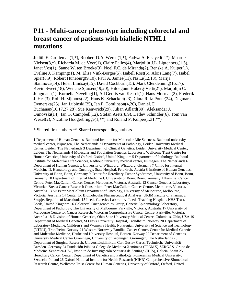### **P11 - Multi-cancer phenotype including colorectal and breast cancer of patients with biallelic NTHL1 mutations**

Judith E. Grolleman(1,\*), Robbert D.A. Weren(1,\*), Fadwa A. Elsayed(2,\*), Maartje Nielsen(3,\*), Richarda M. de Voer(1), Claire Palles(4), Marjolijn J.L. Ligtenberg(1,5), Janet Vos(1), Sanne W. ten Broeke(3), Noel F.C. de Miranda(2), Renske A. Kuiper(1), Eveline J. Kamping(1), M. Elisa Vink-Börger(5), Isabell Rost(6), Alois Lang(7), Isabel Spier(8,9), Robert Hüneburg(9,10), Paul A. James(11), Na Li(12,13), Marija Staninova(14), Helen Lindsay(15), David Cockburn(15), Mark Clendenning(16,17), Kevin Sweet(18), Wenche Sjursen(19,20), Hildegunn Høberg-Vetti(21), Marjolijn C. Jongmans(1), Kornelia Neveling(1), Ad Geurts van Kessel(1), Hans Morreau(2), Frederik J. Hes(3), Rolf H. Sijmons(22), Hans K. Schackert(23), Clara Ruiz-Ponte(24), Dagmara Dymerska(25), Jan Lubinski(25), Ian P. Tomlinson(4,26), Daniel. D. Buchanan(16,17,27,28), Sue Kenwrick(29), Julian Adlard(30), Aleksandar J. Dimovski(14), Ian G. Campbell(12), Stefan Aretz(8,9), Detlev Schindler(6), Tom van Wezel(2), Nicoline Hoogerbrugge $(1, **)$  and Roland P. Kuiper $(1,31, **)$ 

\* Shared first authors \*\* Shared corresponding authors

1 Department of Human Genetics, Radboud Institute for Molecular Life Sciences, Radboud university medical center, Nijmegen, The Netherlands 2 Departments of Pathology, Leiden University Medical Center, Leiden, The Netherlands 3 Department of Clinical Genetics, Leiden University Medical Center, Leiden, The Netherlands 4 Molecular and Population Genetics Laboratory, Wellcome Trust Centre for Human Genetics, University of Oxford, Oxford, United Kingdom 5 Department of Pathology, Radboud Institute for Molecular Life Sciences, Radboud university medical center, Nijmegen, The Netherlands 6 Department of Human Genetics, University of Würzburg, Würzburg, Germany 7 Clinic for Internal Medicine II, Hematology and Oncology, State Hospital, Feldkirch, Austria 8 Institute of Human Genetics, University of Bonn, Bonn, Germany 9 Center for Hereditary Tumor Syndromes, University of Bonn, Bonn, Germany 10 Department of Internal Medicine I, University of Bonn, Bonn, Germany 11Familial Cancer Centre, Peter MacCallum Cancer Centre, Melbourne, Victoria, Australia 12 Cancer Genetics Laboratory, Victorian Breast Cancer Research Consortium, Peter MacCallum Cancer Centre, Melbourne, Victoria, Australia 13 Sir Peter MacCallum Department of Oncology, University of Melbourne, Melbourne, Victoria, Australia 14 Center for Biomolecular Pharmaceutical Analyses, UKIM Faculty of Pharmacy, Skopje, Republic of Macedonia 15 Leeds Genetics Laboratory, Leeds Teaching Hospitals NHS Trust, Leeds, United Kingdom 16 Colorectal Oncogenomics Group, Genetic Epidemiology Laboratory, Department of Pathology, The University of Melbourne, Parkville, Victoria, Australia 17 University of Melbourne Centre for Cancer Research, Victorian Comprehensive Cancer Centre, Parkville, Victoria, Australia 18 Division of Human Genetics, Ohio State University Medical Centre, Columbus, Ohio, USA 19 Department of Medical Genetics, St Olavs University Hospital, Trondheim, Norway 20 Department of Laboratory Medicine, Children´s and Women´s Health, Norwegian University of Science and Technology (NTNU), Trondheim, Norway 21 Western Normway Familial Cancer Center, Center for Medical Genetics and Molecular Medicine, Haukeland University Hospital, Bergen, Norway 22 Department of Genetics, University Medical Center Groningen, University of Groningen, Groningen, The Netherlands 23 Department of Surgical Research, Universitätsklinikum Carl Gustav Carus, Technische Universität Dresden, Germany 24 Fundación Pública Galega de Medicina Xenómica (FPGMX)-SERGAS, Grupo de Medicina Xenómica-USC, Instituto de Investigación Sanitaria de Santiago (IDIS), Galicia, Spain 25 Hereditary Cancer Center, Department of Genetics and Pathology, Pomeranian Medical University, Szczecin, Poland 26 Oxford National Institute for Health Research (NIHR) Comprehensive Biomedical Research Centre, Wellcome Trust Centre for Human Genetics, University of Oxford, Oxford, United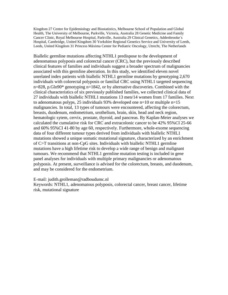Kingdom 27 Centre for Epidemiology and Biostatistics, Melbourne School of Population and Global Health, The University of Melbourne, Parkville, Victoria, Australia 28 Genetic Medicine and Family Cancer Clinic, Royal Melbourne Hospital, Parkville, Australia 29 Clinical Genetics, Addenbrooke´s Hospital, Cambridge, United Kingdom 30 Yorkshire Regional Genetics Service and University of Leeds, Leeds, United Kingdom 31 Princess Máxima Center for Pediatric Oncology, Utrecht, The Netherlands

Biallelic germline mutations affecting NTHL1 predispose to the development of adenomatous polyposis and colorectal cancer (CRC), but the previously described clinical features of families and individuals suggest a broader spectrum of malignancies associated with this germline aberration. In this study, we identified eleven novel unrelated index patients with biallelic NTHL1 germline mutations by genotyping 2,670 individuals with colorectal polyposis or familial CRC using NTHL1 targeted sequencing n=828, p.Gln90\* genotyping n=1842, or by alternative discoveries. Combined with the clinical characteristics of six previously published families, we collected clinical data of 27 individuals with biallelic NTHL1 mutations 13 men/14 women from 17 families. Next to adenomatous polyps, 25 individuals 93% developed one  $n=10$  or multiple  $n=15$ malignancies. In total, 13 types of tumours were encountered, affecting the colorectum, breasts, duodenum, endometrium, urothelium, brain, skin, head and neck region, hematologic sytem, cervix, prostate, thyroid, and pancreas. By Kaplan-Meier analyses we calculated the cumulative risk for CRC and extracolonic cancer to be 42% 95%CI 25-66 and 60% 95%CI 41-80 by age 60, respectively. Furthermore, whole-exome sequencing data of four different tumour types derived from individuals with biallelic NTHL1 mutations showed a unique somatic mutational signature, characterized by an enrichment of C>T transitions at non-CpG sites. Individuals with biallelic NTHL1 germline mutations have a high lifetime risk to develop a wide range of benign and malignant tumours. We recommend that NTHL1 germline mutation testing is included in gene panel analyses for individuals with multiple primary malignancies or adenomatous polyposis. At present, surveillance is advised for the colorectum, breasts, and duodenum, and may be considered for the endometrium.

E-mail: judith.grolleman@radboudumc.nl

Keywords: NTHL1, adenomatous polyposis, colorectal cancer, breast cancer, lifetime risk, mutational signature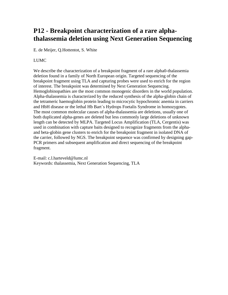### **P12 - Breakpoint characterization of a rare alphathalassemia deletion using Next Generation Sequencing**

E. de Meijer, Q.Hottentot, S. White

#### LUMC.

We describe the characterization of a breakpoint fragment of a rare alpha0-thalassemia deletion found in a family of North European origin. Targeted sequencing of the breakpoint fragment using TLA and capturing probes were used to enrich for the region of interest. The breakpoint was determined by Next Generation Sequencing. Hemoglobinopathies are the most common monogenic disorders in the world population. Alpha-thalassemia is characterized by the reduced synthesis of the alpha-globin chain of the tetrameric haemoglobin protein leading to microcytic hypochromic anemia in carriers and HbH disease or the lethal Hb Bart´s Hydrops Foetalis Syndrome in homozygotes. The most common molecular causes of alpha-thalassemia are deletions, usually one of both duplicated alpha-genes are deleted but less commonly large deletions of unknown length can be detected by MLPA. Targeted Locus Amplification (TLA, Cergentis) was used in combination with capture baits designed to recognize fragments from the alphaand beta-globin gene clusters to enrich for the breakpoint fragment in isolated DNA of the carrier, followed by NGS. The breakpoint sequence was confirmed by designing gap-PCR primers and subsequent amplification and direct sequencing of the breakpoint fragment.

E-mail: c.l.harteveld@lumc.nl Keywords: thalassemia, Next Generation Sequencing, TLA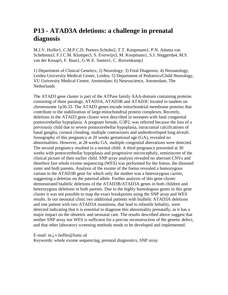### **P13 - ATAD3A deletions: a challenge in prenatal diagnosis**

M.J.V. Hoffer1, C.M.P.C.D. Peeters-Scholte2, T.T. Koopmann1, P.N. Adama van Scheltema3, F.J.C.M. Klumper3, S. Everwijn3, M. Koopmans1, S.J. Steggerda4, M.S. van der Knaap5, F. Baas1, G.W.E. Santen1, C. Ruivenkamp1

1) Department of Clinical Genetics; 2) Neurology; 3) Fetal Diagnosis; 4) Neonatology, Leiden University Medical Center, Leiden; 5) Department of Pediatrics/Child Neurology, VU University Medical Centre, Amsterdam; 6) Neuroscience, Amsterdam, The **Netherlands** 

The ATAD3 gene cluster is part of the ATPase family AAA-domain containing proteins consisting of three paralogs, ATAD3A, ATAD3B and ATAD3C located in tandem on chromosome 1p36.33. The ATAD3 genes encode mitochondrial membrane proteins that contribute to the stabilization of large-mitochondrial protein complexes. Recently, deletions in the ATAD3 gene cluster were described in neonates with fatal congenital pontocerebellar hypoplasia. A pregnant female, G3P2, was referred because the loss of a previously child due to severe pontocerebellar hypoplasia, intracranial calcifications of basal ganglia, corneal clouding, multiple contractures and underdeveloped lung alveoli. Sonography of this pregnancy at 20 weeks gestational age (GA), revealed no abnormalities. However, at 28 weeks GA, multiple congenital aberrations were detected. The second pregnancy resulted in a normal child. A third pregnancy presented at 30 weeks with pontocerebellar hypoplasia and progressive microcephaly, reminiscent of the clinical picture of their earlier child. SNP array analysis revealed no aberrant CNVs and therefore fast whole exome sequencing (WES) was performed for the foetus, the diseased sister and both parents. Analysis of the exome of the foetus revealed a homozygous variant in the ATAD3B gene for which only the mother was a heterozygous carrier, suggesting a deletion on the paternal allele. Further analysis of this gene cluster demonstrated biallelic deletions of the ATAD3B/ATAD3A genes in both children and heterozygous deletions in both parents. Due to the highly homologous genes in this gene cluster it was not possible to map the exact breakpoints using the SNP array and WES results. In our neonatal clinic two additional patients with biallelic ATAD3A deletions and one patient with two ATAD3A mutations, that lead to infantile lethality, were detected indicating that it is essential to diagnose this abnormality prenatally, as it has a major impact on the obstetric and neonatal care. The results described above suggest that neither SNP array nor WES is sufficient for a precise reconstruction of the genetic defect, and that other laboratory screening methods needs to be developed and implemented.

E-mail: m.j.v.hoffer@lumc.nl

Keywords: whole exome sequencing, prenatal diagnostics, SNP array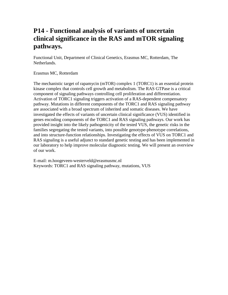### **P14 - Functional analysis of variants of uncertain clinical significance in the RAS and mTOR signaling pathways.**

Functional Unit, Department of Clinical Genetics, Erasmus MC, Rotterdam, The Netherlands.

Erasmus MC, Rotterdam

The mechanistic target of rapamycin (mTOR) complex 1 (TORC1) is an essential protein kinase complex that controls cell growth and metabolism. The RAS GTPase is a critical component of signaling pathways controlling cell proliferation and differentiation. Activation of TORC1 signaling triggers activation of a RAS-dependent compensatory pathway. Mutations in different components of the TORC1 and RAS signaling pathway are associated with a broad spectrum of inherited and somatic diseases. We have investigated the effects of variants of uncertain clinical significance (VUS) identified in genes encoding components of the TORC1 and RAS signaling pathways. Our work has provided insight into the likely pathogenicity of the tested VUS, the genetic risks in the families segregating the tested variants, into possible genotype-phenotype correlations, and into structure-function relationships. Investigating the effects of VUS on TORC1 and RAS signaling is a useful adjunct to standard genetic testing and has been implemented in our laboratory to help improve molecular diagnostic testing. We will present an overview of our work.

E-mail: m.hoogeveen-westerveld@erasmusmc.nl Keywords: TORC1 and RAS signaling pathway, mutations, VUS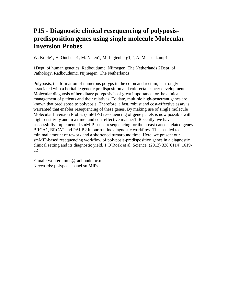#### **P15 - Diagnostic clinical resequencing of polyposispredisposition genes using single molecule Molecular Inversion Probes**

W. Koole1, H. Ouchene1, M. Nelen1, M. Ligtenberg1,2, A. Mensenkamp1

1Dept. of human genetics, Radboudumc, Nijmegen, The Netherlands 2Dept. of Pathology, Radboudumc, Nijmegen, The Netherlands

Polyposis, the formation of numerous polyps in the colon and rectum, is strongly associated with a heritable genetic predisposition and colorectal cancer development. Molecular diagnosis of hereditary polyposis is of great importance for the clinical management of patients and their relatives. To date, multiple high-penetrant genes are known that predispose to polyposis. Therefore, a fast, robust and cost-effective assay is warranted that enables resequencing of these genes. By making use of single molecule Molecular Inversion Probes (smMIPs) resequencing of gene panels is now possible with high sensitivity and in a time- and cost-effective manner1. Recently, we have successfully implemented smMIP-based resequencing for the breast cancer-related genes BRCA1, BRCA2 and PALB2 in our routine diagnostic workflow. This has led to minimal amount of rework and a shortened turnaround time. Here, we present our smMIP-based resequencing workflow of polyposis-predisposition genes in a diagnostic clinical setting and its diagnostic yield. 1 O´Roak et al, Science, (2012) 338(6114):1619- 22

E-mail: wouter.koole@radboudumc.nl Keywords: polyposis panel smMIPs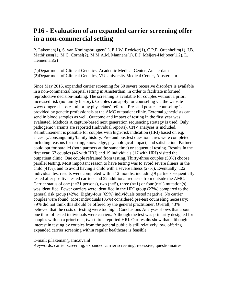### **P16 - Evaluation of an expanded carrier screening offer in a non-commercial setting**

P. Lakeman(1), S. van Koningsbruggen(1), E.J.W. Redeker(1), C.P.E. Ottenheijm(1), I.B. Mathijssen(1), M.C. Cornel(2), M.M.A.M. Mannens(1), E.J. Meijers-Heijboer(1,2), L. Henneman(2)

(1)Department of Clinical Genetics, Academic Medical Center, Amsterdam (2)Department of Clinical Genetics, VU University Medical Center, Amsterdam

Since May 2016, expanded carrier screening for 50 severe recessive disorders is available in a non-commercial hospital setting in Amsterdam, in order to facilitate informed reproductive decision-making. The screening is available for couples without a priori increased risk (no family history). Couples can apply for counseling via the website www.dragerschapstest.nl, or by physicians´ referral. Pre- and posttest counseling is provided by genetic professionals at the AMC outpatient clinic. External geneticists can send in blood samples as well. Outcome and impact of testing in the first year was evaluated. Methods A capture-based next generation sequencing strategy is used. Only pathogenic variants are reported (individual reports). CNV analyses is included. Reimbursement is possible for couples with high-risk indication (HRI) based on e.g. ancestry/consanguinity/family history. Pre- and posttest questionnaires were completed including reasons for testing, knowledge, psychological impact, and satisfaction. Partners could opt for parallel (both partners at the same time) or sequential testing. Results In the first year, 67 couples (46 with HRI) and 19 individuals (17 with HRI) visited the outpatient clinic. One couple refrained from testing. Thirty-three couples (50%) choose parallel testing. Most important reason to have testing was to avoid severe illness in the child (41%), and to avoid having a child with a severe illness (27%). Eventually, 122 individual test results were completed within 12 months, including 9 partners sequentially tested after positive tested carriers and 22 additional requests from outside the AMC. Carrier status of one (n=31 persons), two (n=5), three (n=1) or four (n=1) mutation(s) was identified. Fewer carriers were identified in the HRI group (27%) compared to the general risk group (42%). Eighty-four (69%) individuals tested negative. No carrier couples were found. Most individuals (85%) considered pre-test counseling necessary; 79% did not think this should be offered by the general practitioner. Overall, 43% believed that the costs of testing were too high. Conclusions Analyses shows that about one third of tested individuals were carriers. Although the test was primarily designed for couples with no a priori risk, two-thirds reported HRI. Our results show that, although interest in testing by couples from the general public is still relatively low, offering expanded carrier screening within regular healthcare is feasible.

E-mail: p.lakeman@amc.uva.nl

Keywords: carrier screening; expanded carrier screening; recessive; questionnaires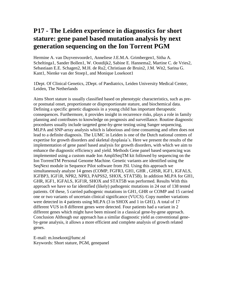### **P17 - The Leiden experience in diagnostics for short stature: gene panel based mutation analysis by next generation sequencing on the Ion Torrent PGM**

Hermine A. van Duyvenvoorde1, Anneliese J.E.M.A. Grimbergen1, Sitha A. Scheltinga1, Sander Bollen1, W. Oostdijk2, Sabine E. Hannema2, Martine C. de Vries2, Sebastiaan E.E. Schagen2, M.H. de Ru2, Christiaan de Bruin2, J.M. Wit2, Sarina G. Kant1, Nienke van der Stoep1, and Monique Losekoot1

1Dept. Of Clinical Genetics, 2Dept. of Paediatrics, Leiden University Medical Center, Leiden, The Netherlands

Aims Short stature is usually classified based on phenotypic characteristics, such as preor postnatal onset, proportionate or disproportionate stature, and biochemical data. Defining a specific genetic diagnosis in a young child has important therapeutic consequences. Furthermore, it provides insight in recurrence risks, plays a role in family planning and contributes to knowledge on prognosis and surveillance. Routine diagnostic procedures usually include targeted gene-by-gene testing using Sanger sequencing, MLPA and SNP-array analysis which is laborious and time consuming and often does not lead to a definite diagnosis. The LUMC in Leiden is one of the Dutch national centres of expertise for growth disorders and skeletal dysplasia´s. Here we present the results of the implementation of gene panel based analysis for growth disorders, with which we aim to enhance the diagnostic efficiency and yield. Methods Gene panel based sequencing was implemented using a custom made Ion AmpliSeqTM kit followed by sequencing on the Ion TorrentTM Personal Genome Machine. Genetic variants are identified using the SeqNext module in Sequence Pilot software from JSI. Using this approach we simultaneously analyze 14 genes (COMP, FGFR3, GH1, GHR , GHSR, IGF1, IGFALS, IGFBP3, IGF1R, NPR2, NPR3, PAPSS2, SHOX, STAT5B). In addition MLPA for GH1, GHR, IGF1, IGFALS, IGF1R, SHOX and STAT5B was performed. Results With this approach we have so far identified (likely) pathogenic mutations in 24 out of 138 tested patients. Of these, 5 carried pathogenic mutations in GH1, GHR or COMP and 15 carried one or two variants of uncertain clinical significance (VUCS). Copy number variations were detected in 4 patients using MLPA (3 in SHOX and 1 in GH1). A total of 17 different VUS in 8 different genes were detected. Four patients had a variant in 2 different genes which might have been missed in a classical gene-by-gene approach. Conclusion Although our approach has a similar diagnostic yield as conventional geneby-gene analysis, it allows a more efficient and complete analysis of growth related genes.

E-mail: m.losekoot@lumc.nl Keywords: Short stature, PGM, genepanel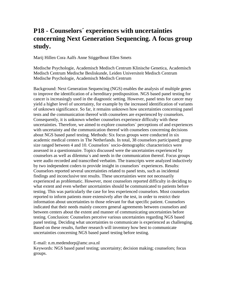### **P18 - Counselors´ experiences with uncertainties concerning Next Generation Sequencing. A focus group study.**

Marij Hillen Cora Aalfs Anne Stiggelbout Ellen Smets

Medische Psychologie, Academisch Medisch Centrum Klinische Genetica, Academisch Medisch Centrum Medische Besliskunde, Leiden Universiteit Medisch Centrum Medische Psychologie, Academisch Medisch Centrum

Background: Next Generation Sequencing (NGS) enables the analysis of multiple genes to improve the identification of a hereditary predisposition. NGS based panel testing for cancer is increasingly used in the diagnostic setting. However, panel tests for cancer may yield a higher level of uncertainty, for example by the increased identification of variants of unknown significance. So far, it remains unknown how uncertainties concerning panel tests and the communication thereof with counselees are experienced by counselors. Consequently, it is unknown whether counselors experience difficulty with these uncertainties. Therefore, we aimed to explore counselors´ perceptions of and experiences with uncertainty and the communication thereof with counselees concerning decisions about NGS based panel testing. Methods: Six focus groups were conducted in six academic medical centers in The Netherlands. In total, 38 counselors participated; group size ranged between 4 and 10. Counselors´ socio-demographic characteristics were assessed in a questionnaire. Topics discussed were the uncertainties experienced by counselors as well as dilemma´s and needs in the communication thereof. Focus groups were audio recorded and transcribed verbatim. The transcripts were analyzed inductively by two independent coders to provide insight in counselors´ experiences. Results: Counselors reported several uncertainties related to panel tests, such as incidental findings and inconclusive test results. These uncertainties were not necessarily experienced as problematic. However, most counselors reported difficulty in deciding to what extent and even whether uncertainties should be communicated to patients before testing. This was particularly the case for less experienced counselors. Most counselors reported to inform patients more extensively after the test, in order to restrict their information about uncertainties to those relevant for that specific patient. Counselors indicated that their needs mainly concern general agreements between counselors and between centers about the extent and manner of communicating uncertainties before testing. Conclusion: Counselors perceive various uncertainties regarding NGS based panel testing. Deciding what uncertainties to communicate is experienced as challenging. Based on these results, further research will inventory how best to communicate uncertainties concerning NGS based panel testing before testing.

E-mail: n.m.medendorp@amc.uva.nl

Keywords: NGS based panel testing; uncertainty; decision making; counselors; focus groups.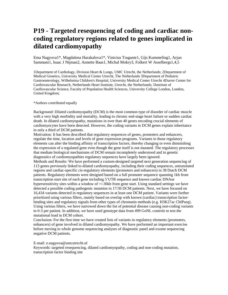### **P19 - Targeted resequencing of coding and cardiac noncoding regulatory regions related to genes implicated in dilated cardiomyopathy**

Ema Nagyova1\*, Magdalena Harakalova1\*, Vinicius Tragante1, Gijs Kummeling1, Arjan Sammani1, Isaac J Nijman2, Annette Baas1, Michal Mokry3, Folkert W Asselbergs1,4,5

1Department of Cardiology, Division Heart & Lungs, UMC Utrecht, the Netherlands; 2Department of Medical Genetics, University Medical Center Utrecht, The Netherlands 3Department of Pediatric Gastroenterology, Wilhelmina Children's Hospital, University Medical Center Utrecht 4Durrer Center for Cardiovascular Research, Netherlands Heart Institute, Utrecht, the Netherlands; 5Institute of Cardiovascular Science, Faculty of Population Health Sciences, University College London, London, United Kingdom;

#### \*Authors contributed equally

Background: Dilated cardiomyopathy (DCM) is the most common type of disorder of cardiac muscle with a very high morbidity and mortality, leading to chronic end-stage heart failure or sudden cardiac death. In dilated cardiomyopathy, mutations in over than 40 genes encoding crucial elements of cardiomyocytes have been detected. However, the coding variants in DCM genes explain inheritance in only a third of DCM patients.

Motivation: It has been described that regulatory sequences of genes, promoters and enhancers, regulate the time, location and levels of gene expression programs. Variants in those regulatory elements can alter the binding affinity of transcription factors, thereby changing or even diminishing the expression of a regulated gene even though the gene itself is not mutated. The regulatory processes that mediate biological mechanisms of DCM remain incompletely understood and in genetic diagnostics of cardiomyopathies regulatory sequences have largely been ignored.

Methods and Results: We have performed a custom-designed targeted next generation sequencing of 113 genes previously linked to dilated cardiomyopathy, including their coding sequences, untranslated regions and cardiac-specific cis-regulatory elements (promoters and enhancers) in 38 Dutch DCM patients. Regulatory elements were designed based on a full promoter sequence spanning 1kb from transcription start site of each gene including 5'UTR sequence and known cardiac DNAse hypersensitivity sites within a window of +/-30kb from gene start. Using standard settings we have detected a possible coding pathogenic mutation in 17/36 DCM patients. Next, we have focused on 16,434 variants detected in regulatory sequences in at least one DCM patient. Variants were further prioritized using various filters, mainly based on overlap with known (cardiac) transcription factorbinding sites and regulatory signals from other types of chromatin methods (e.g. H3K27ac ChIPseq). Using various filters, we have narrowed down the list of potential disease causing non-coding variants to 0-3 per patient. In addition, we have used genotype data from 499 GoNL controls to test the mutational load in DCM cohort.

Conclusion: For the first time we have created lists of variants in regulatory elements (promoters, enhancers) of gene involved in dilated cardiomyopathy. We have performed an important exercise before moving to whole genome sequencing analyses of diagnostic panel and exome sequencing negative DCM patients.

E-mail: e.nagyova@umcutrecht.nl

Keywords: targeted resequencing, dilated cardiomyopathy, coding and non-coding mutation, transcription factor binding site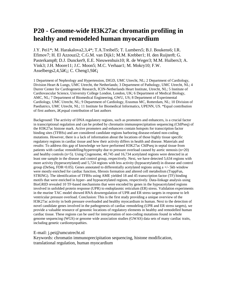### **P20 - Genome-wide H3K27ac chromatin profiling in healthy and remodeled human myocardium**

J.Y. Pei1\*; M. Harakalova2,3,4\*; T.A.Treibel5; T. Lumbers5; B.J. Boukens6; I.R. Efimov7; H. El Azzouzi2; C.G.M. van Dijk1; M.M. Krebber1; H. den Ruijter8; G. Pasterkamp8; D.J. Duncker9, E.E. Nieuwenhuis10; R. de Weger3; M.M. Huibers3; A. Vink3; J.H. Moore11; J.C. Moon5; M.C. Verhaar1; M. Mokry10; F.W. Asselbergs2,4,5 $\hat{a} \in C$ . Cheng1,9 $\hat{a} \in C$ 

1 Department of Nephrology and Hypertension, DIGD, UMC Utrecht, NL; 2 Department of Cardiology, Division Heart & Lungs, UMC Utrecht, the Netherlands; 3 Department of Pathology, UMC Utrecht, NL; 4 Durrer Center for Cardiogenetic Research, ICIN-Netherlands Heart Institute, Utrecht, NL; 5 Institute of Cardiovascular Science, University College London, London, UK; 6 Department of Medical Biology, AMC, NL; 7 Department of Biomedical Engineering, GWU, US; 8 Department of Experimental Cardiology, UMC Utrecht, NL; 9 Department of Cardiology, Erasmus MC, Rotterdam, NL; 10 Division of Paediatrics, UMC Utrecht, NL; 11 Institute for Biomedical Informatics, UPENN, US. \*Equal contribution of first authors, â€equal contribution of last authors

Background: The activity of DNA regulatory regions, such as promoters and enhancers, is a crucial factor in transcriptional regulation and can be probed by chromatin immunoprecipitation sequencing (ChIPseq) of the H3K27ac histone mark. Active promoters and enhancers contain hotspots for transcription factor binding sites (TFBSs) and are considered candidate regions harboring disease-related non-coding mutations. However, there is a lack of information about the locations of those highly tissue specific regulatory regions in cardiac tissue and how their activity differs in health and disease. Materials and results: To address this gap of knowledge we have performed H3K27ac ChIPseq in septal tissue from patients with cardiac remodelling/hypertrophy due to pressure overload caused by aortic stenosis (n=20) and healthy controls (n=5). Using Cisgenome, 40,745 and 16,734 acetylated regions were detected in at least one sample in the disease and control group, respectively. Next, we have detected 5,634 regions with more activity (hyperacetylated) and 5,724 regions with less activity (hypoacetylated) in disease and control group (DeSeq, FDR<0.05). Genes annotated to differentially acetylated regions using a  $+/-$  5kb window were mostly enriched for cardiac function, fibrosis formation and altered cell metabolism (ToppFun, STRING). The identification of TFBSs using AME yielded 18 and 45 transcription factor (TF) binding motifs that were enriched in hyper- and hypoacetylated regions, respectively. Data-linkage analysis using BioGRID revealed 10 TF-based mechanisms that were encoded by genes in the hypoacetylated regions involved in unfolded protein response (UPR) to endoplasmic reticulum (ER) stress. Validation experiments in the murine TAC model showed RNA downregulation of UPR and ER stress targets in response to left ventricular pressure overload. Conclusion: This is the first study providing a unique overview of the H3K27ac activity in both pressure overloaded and healthy myocardium in human. Next to the detection of novel candidate genes involved in the pathogenesis of cardiac remodeling (UPR and ER stress targets), we provide a valuable resource of genomic locations of regulatory elements in healthy and remodelled human cardiac tissue. These regions can be used for interpretation of non-coding mutations found in whole genome sequencing (WGS) or genome wide association studies (GWAS) data sets of many cardiac traits, including genetic cardiomyopathies.

E-mail: j.pei@umcutrecht.nl

Keywords: chromatin immunoprecipitation sequencing, histone modification, translational regulation, human myocardium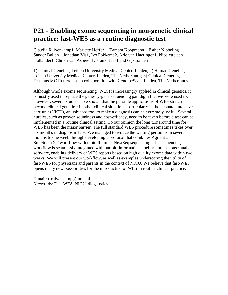### **P21 - Enabling exome sequencing in non-genetic clinical practice: fast-WES as a routine diagnostic test**

Claudia Ruivenkamp1, Mariëtte Hoffer1 , Tamara Koopmann1, Esther Nibbeling1, Sander Bollen1, Jonathan Vis1, Ivo Fokkema2, Arie van Haeringen1, Nicolette den Hollander1, Christi van Asperen1, Frank Baas1 and Gijs Santen1

1) Clinical Genetics, Leiden University Medical Center, Leiden, 2) Human Genetics, Leiden University Medical Center, Leiden, The Netherlands; 3) Clinical Genetics, Erasmus MC Rotterdam. In collaboration with GenomeScan, Leiden, The Netherlands

Although whole exome sequencing (WES) is increasingly applied in clinical genetics, it is mostly used to replace the gene-by-gene sequencing paradigm that we were used to. However, several studies have shown that the possible applications of WES stretch beyond clinical genetics: in other clinical situations, particularly in the neonatal intensive care unit (NICU), an unbiased tool to make a diagnosis can be extremely useful. Several hurdles, such as proven soundness and cost-efficacy, need to be taken before a test can be implemented in a routine clinical setting. To our opinion the long turnaround time for WES has been the major barrier. The full standard WES procedure sometimes takes over six months in diagnostic labs. We managed to reduce the waiting period from several months to one week through developing a protocol that combines Agilent´s SureSelectXT workflow with rapid Illumina NextSeq sequencing. The sequencing workflow is seamlessly integrated with our bio-informatics pipeline and in-house analysis software, enabling delivery of WES reports based on high quality exome data within two weeks. We will present our workflow, as well as examples underscoring the utility of fast-WES for physicians and parents in the context of NICU. We believe that fast-WES opens many new possibilities for the introduction of WES in routine clinical practice.

E-mail: c.ruivenkamp@lumc.nl Keywords: Fast-WES, NICU, diagnostics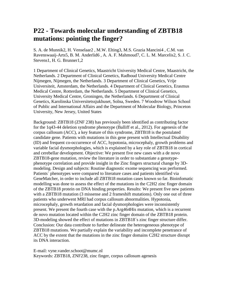#### **P22 - Towards molecular understanding of ZBTB18 mutations: pointing the finger?**

S. A. de Munnik2, H. Venselaar2 , M.W. Elting3, M.S. Grazia Mancini4 , C.M. van Ravenswaaij-Arts5, B. M. Anderlid6 , A. A. F. Mahmoud7, C. L. M. Marcelis2, S. J. C. Stevens1, H. G. Brunner1,2

1 Department of Clinical Genetics, Maastricht University Medical Centre, Maastricht, the Netherlands. 2 Department of Clinical Genetics, Radboud University Medical Centre Nijmegen, Nijmegen, the Netherlands. 3 Department of Clinical Genetics, Vrije Universiteit, Amsterdam, the Netherlands. 4 Department of Clinical Genetics, Erasmus Medical Centre, Rotterdam, the Netherlands. 5 Department of Clinical Genetics, University Medical Centre, Groningen, the Netherlands. 6 Department of Clinical Genetics, Karolinska Universitetssjukhuset, Solna, Sweden. 7 Woodrow Wilson School of Public and International Affairs and the Department of Molecular Biology, Princeton University, New Jersey, United States

Background: ZBTB18 (ZNF 238) has previously been identified as contributing factor for the 1q43-44 deletion syndrome phenotype (Balliff et al., 2012). For agenesis of the corpus callosum (ACC), a key feature of this syndrome, ZBTB18 is the postulated candidate gene. Patients with mutations in this gene present with Intellectual Disability (ID) and frequent co-occurrence of ACC, hypotonia, microcephaly, growth problems and variable facial dysmorphologies, which is explained by a key role of ZBTB18 in cortical and cerebellar development. Objective: We present five new cases with a de novo ZBTB18-gene mutation, review the literature in order to substantiate a genotypephenotype correlation and provide insight in the Zinc fingers structural change by 3Dmodeling. Design and subjects: Routine diagnostic exome sequencing was performed. Patients´ phenotypes were compared to literature cases and patients identified via GeneMatcher, in order to include all ZBTB18 mutation cases known so far. Bioinfomatic modelling was done to assess the effect of the mutations in the C2H2 zinc finger domain of the ZBTB18 protein on DNA binding properties. Results: We present five new patients with a ZBTB18 mutation (3 missense and 2 frameshift mutations). Only one out of three patients who underwent MRI had corpus callosum abnormalities. Hypotonia, microcephaly, growth retardation and facial dysmorphologies were inconsistently present. We present the fourth case with the p.Arg464His mutation, which is a recurrent de novo mutation located within the C2H2 zinc finger domain of the ZBTB18 protein. 3D-modeling showed the effect of mutations in ZBTB18´s zinc finger structure differ. Conclusion: Our data contribute to further delineate the heterogeneous phenotype of ZBTB18 mutations. We partially explain the variability and incomplete penetrance of ACC by the extent that the mutations in the zinc finger domains C2H2 structure disrupt its DNA interaction.

E-mail: vyne.vander.schoot@mumc.nl Keywords: ZBTB18, ZNF238, zinc finger, corpus callosum agenesis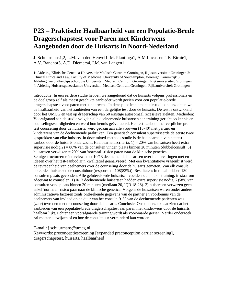#### **P23 – Praktische Haalbaarheid van een Populatie-Brede Dragerschapstest voor Paren met Kinderwens Aangeboden door de Huisarts in Noord-Nederland**

J. Schuurmans1,2, L.M. van den Heuvel1, M. Plantinga1, A.M.Lucassen2, E. Birnie1, A.V. Ranchor3, A.D. Diemers4, I.M. van Langen1

1: Afdeling Klinische Genetica Universitair Medisch Centrum Groningen, Rijksuniversiteit Groningen 2: Clinical Ethics and Law, Faculty of Medicine, University of Southampton, Verenigd Koninkrijk 3: Afdeling Gezondheidspsychologie Universitair Medisch Centrum Groningen, Rijksuniversiteit Groningen 4: Afdeling Huisartsgeneeskunde Universitair Medisch Centrum Groningen, Rijksuniversiteit Groningen

Introductie: In een eerdere studie hebben we aangetoond dat de huisarts volgens professionals en de doelgroep zelf als meest geschikte aanbieder wordt gezien voor een populatie-brede dragerschapstest voor paren met kinderwens. In deze pilot-implementatiestudie onderzochten we de haalbaarheid van het aanbieden van een dergelijke test door de huisarts. De test is ontwikkeld door het UMCG en test op dragerschap van 50 ernstige autosomaal recessieve ziekten. Methoden: Voorafgaand aan de studie volgden alle deelnemende huisartsen een training gericht op kennis en counselingsvaardigheden en werd hun kennis geëvalueerd. Het test-aanbod, met verplichte pretest counseling door de huisarts, werd gedaan aan alle vrouwen (18-40) met partner en kinderwens van de deelnemende praktijken. Een genetisch consulent superviseerde de eerste twee gesprekken van elke huisarts. In deze mixed-methods studie is de haalbaarheid van het testaanbod door de huisarts onderzocht. Haalbaarheidscriteria: 1) = 20% van huisartsen heeft extra supervisie nodig  $2$ ) = 80% van de consulten vinden plaats binnen 20 minuten (dubbelconsult) 3) huisartsen verwijzen = 20% van 'normaal´-risico paren naar de klinische genetica. Semigestructureerde interviews met 10/13 deelnemende huisartsen over hun ervaringen met en ideeën over het test-aanbod zijn kwalitatief geanalyseerd. Met een kwantitatieve vragenlijst werd de tevredenheid van deelnemers over de counseling door de huisarts gemeten. Van elk consult noteerden huisartsen de consultduur (response n=108(83%)). Resultaten: In totaal hebben 130 consulten plaats gevonden. Alle geïnterviewde huisartsen voelden zich, na de training, in staat om adequaat te counselen. 1) 0/13 deelnemende huisartsen hadden extra supervisie nodig. 2)58% van consulten vond plaats binnen 20 minuten (mediaan 20, IQR 18-28). 3) huisartsen verwezen geen enkel 'normaal´ risico paar naar de klinische genetica. Volgens de huisartsen waren onder andere administratieve factoren zoals ontbrekende gegevens van de partner en voorkennis van de deelnemers van invloed op de duur van het consult. 91% van de deelnemende patiënten was (zeer) tevreden met de counseling door de huisarts. Conclusie: Ons onderzoek laat zien dat het aanbieden van een populatie-brede dragerschapstest aan paren met kinderwens door de huisarts haalbaar lijkt. Echter een voorafgaande training wordt als voorwaarde gezien. Verder onderzoek zal moeten uitwijzen of en hoe de consultduur verminderd kan worden.

E-mail: j.schuurmans@umcg.nl

Keywords: preconceptiescreening [expanded preconception carrier screening], dragerschapstest, huisarts, haalbaarheid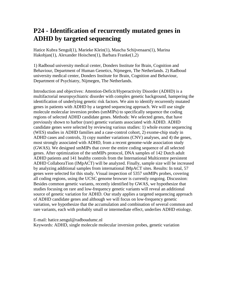### **P24 - Identification of recurrently mutated genes in ADHD by targeted sequencing**

Hatice Kubra Sengul(1), Marieke Klein(1), Mascha Schijvenaars(1), Marina Hakobjan(1), Alexander Hoischen(1), Barbara Franke(1,2)

1) Radboud university medical center, Donders Institute for Brain, Cognition and Behaviour, Department of Human Genetics, Nijmegen, The Netherlands. 2) Radboud university medical center, Donders Institute for Brain, Cognition and Behaviour, Department of Psychiatry, Nijmegen, The Netherlands.

Introduction and objectives: Attention-Deficit/Hyperactivity Disorder (ADHD) is a multifactorial neuropsychiatric disorder with complex genetic background, hampering the identification of underlying genetic risk factors. We aim to identify recurrently mutated genes in patients with ADHD by a targeted sequencing approach. We will use single molecule molecular inversion probes (smMIPs) to specifically sequence the coding regions of selected ADHD candidate genes. Methods: We selected genes, that have previously shown to harbor (rare) genetic variants associated with ADHD. ADHD candidate genes were selected by reviewing various studies: 1) whole exome sequencing (WES) studies in ADHD families and a case-control cohort, 2) exome-chip study in ADHD cases and controls, 3) copy number variations (CNV) analyses, and 4) the genes, most strongly associated with ADHD, from a recent genome-wide association study (GWAS). We designed smMIPs that cover the entire coding sequence of all selected genes. After optimization of the smMIPs protocol, DNA samples of 142 Dutch adult ADHD patients and 141 healthy controls from the International Multicentre persistent ADHD CollaboraTion (IMpACT) will be analyzed. Finally, sample size will be increased by analyzing additional samples from international IMpACT sites. Results: In total, 57 genes were selected for this study. Visual inspection of 5357 smMIPs probes, covering all coding regions, using the UCSC genome browser is currently ongoing. Discussion: Besides common genetic variants, recently identified by GWAS, we hypothesize that studies focusing on rare and low-frequency genetic variants will reveal an additional source of genetic variation for ADHD. Our study applies a targeted sequencing approach of ADHD candidate genes and although we will focus on low-frequency genetic variation, we hypothesize that the accumulation and combination of several common and rare variants, each with probably small or intermediate effect, underlies ADHD etiology.

E-mail: hatice.sengul@radboudumc.nl Keywords: ADHD, single molecule molecular inversion probes, genetic variation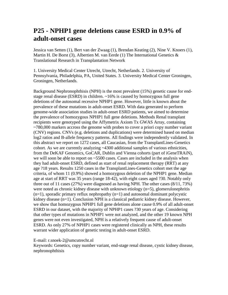### **P25 - NPHP1 gene deletions cause ESRD in 0.9% of adult-onset cases**

Jessica van Setten (1), Bert van der Zwaag (1), Brendan Keating (2), Nine V. Knoers (1), Martin H. De Borst (3), Albertien M. van Eerde (1) The International Genetics  $\&$ Translational Research in Transplantation Network

1. University Medical Center Utrecht, Utrecht, Netherlands. 2. University of Pennsylvania, Philadelphia, PA, United States. 3. University Medical Center Groningen, Groningen, Netherlands.

Background Nephronophthisis (NPH) is the most prevalent (15%) genetic cause for endstage renal disease (ESRD) in children. ~16% is caused by homozygous full gene deletions of the autosomal recessive NPHP1 gene. However, little is known about the prevalence of these mutations in adult-onset ESRD. With data generated to perform genome-wide association studies in adult-onset ESRD patients, we aimed to determine the prevalence of homozygous NPHP1 full gene deletions. Methods Renal transplant recipients were genotyped using the Affymetrix Axiom Tx GWAS Array, containing ~780,000 markers accross the genome with probes to cover a priori copy number variant (CNV) regions. CNVs (e.g. deletions and duplications) were determined based on median log2 ratios and B-allele frequency patterns. All findings were independently validated. In this abstract we report on 1272 cases, all Caucasian, from the TransplantLines-Genetics cohort. As we are currently analyzing ~4300 additional samples of various ethnicities, from the DeKAF Genomics, GoCAR, Dublin and Vienna cohorts (part of iGeneTRAiN), we will soon be able to report on ~5500 cases. Cases are included in the analysis when they had adult-onset ESRD, defined as start of renal replacement therapy (RRT) at any age ?18 years. Results 1250 cases in the TransplantLines-Genetics cohort met the age criteria, of whom 11 (0.9%) showed a homozygous deletion of the NPHP1 gene. Median age at start of RRT was 35 years (range 18-42), with eight cases aged ?30. Notably only three out of 11 cases (27%) were diagnosed as having NPH. The other cases (8/11, 73%) were noted as chronic kidney disease with unknown etiology (n=5), glomerulonephritis  $(n=1)$ , sporadic primary reflux nephropathy  $(n=1)$  and autosomal dominant polycystic kidney disease (n=1). Conclusion NPH is a classical pediatric kidney disease. However, we show that homozygous NPHP1 full gene deletions alone cause 0.9% of all adult-onset ESRD in our dataset, with the majority of NPHP1 cases ?30 years of age. Considering that other types of mutations in NPHP1 were not analyzed, and the other 19 known NPH genes were not even investigated, NPH is a relatively frequent cause of adult-onset ESRD. As only 27% of NPHP1 cases were registered clinically as NPH, these results warrant wider application of genetic testing in adult-onset ESRD.

E-mail: r.snoek-2@umcutrecht.nl

Keywords: Genetics, copy number variant, end-stage renal disease, cystic kidney disease, nephronophthisis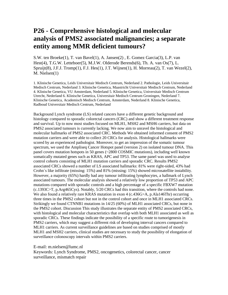### **P26 - Comprehensive histological and molecular analysis of PMS2 associated malignancies; a separate entity among MMR deficient tumours?**

S.W. ten Broeke(1), T. van Bavel(1), A. Jansen(2) , E. Gomez Garcia(3), L.P. van Hest(4), T.G.W. Letteboer(5), M.J.W. Olderode Berends(6), Th. A. van Os(7), L. Spruijt(8), J.F.J. Tromp(1), F.J. Hes(1), J.T. Wijnen(1), H. Morreau(2), T. van Wezel(2), M. Nielsen(1)

1. Klinische Genetica, Leids Universitair Medisch Centrum, Nederland 2. Pathologie, Leids Universitair Medisch Centrum, Nederland 3. Klinische Genetica, Maastricht Universitair Medisch Centrum, Nederland 4. Klinische Genetica, VU Amsterdam, Nederland 5. Klinische Genetica, Universitair Medisch Centrum Utrecht, Nederland 6. Klinische Genetica, Universitair Medisch Centrum Groningen, Nederland 7. Klinische Genetica, Academisch Medisch Centrum, Amsterdam, Nederland 8. Klinische Genetica, Radboud Universitair Medisch Centrum, Nederland

Background Lynch syndrome (LS) related cancers have a different genetic background and histology compared to sporadic colorectal cancers (CRC) and show a different treatment response and survival. Up to now most studies focused on MLH1, MSH2 and MSH6 carriers, but data on PMS2 associated tumours is currently lacking. We now aim to unravel the histological and molecular hallmarks of PMS2 associated CRC. Methods We obtained informed consent of PMS2 mutation carriers and were able to collect 20 CRCs for analysis. Histological hallmarks were scored by an experienced pathologist. Moreover, to get an impression of the somatic tumour spectrum, we used the Ampliseq Cancer Hotspot panel (version 2) on isolated tumour DNA. This panel covers mutation hotspots in 50 genes (~2800 COSMIC mutations), including well known somatically mutated genes such as KRAS, APC and TP53. The same panel was used to analyse control cohorts consisting of MLH1 mutation carriers and sporadic CRC. Results PMS2 associated CRCs showed a number of LS associated hallmarks: 81% were right-sided, 43% had Crohn´s like infiltrate (missing: 15%) and 81% (missing: 15%) showed microsatellite instability. However, a majority (65%) hardly had any tumour infiltrating lymphocytes, a hallmark of Lynch associated tumours. The molecular analysis showed a relatively low proportion of TP53 and APC mutations compared with sporadic controls and a high percentage of a specific FBXW7 mutation (c.1393C>T, p.Arg465Cys). Notably, 5/20 CRCs had this transition, where the controls had none. We also found a relatively rare KRAS mutation in exon 4 (c.436G>A, p.Ala146Thr) occurring three times in the PMS2 cohort but not in the control cohort and once in MLH1 associated CRCs. Strikingly we found CTNNB1 mutations in 14/25 (60%) of MLH1 associated CRCs, but none in the PMS2 cohort. Discussion This study illustrates the separate entity of PMS2 associated CRCs, with histological and molecular characteristics that overlap with both MLH1 associated as well as sporadic CRCs. These findings indicate the possibility of a specific route to tumorigenesis in PMS2 carriers, which may suggest a different risk of developing interval cancers compared to MLH1 carriers. As current surveillance guidelines are based on studies comprised of mostly MLH1 and MSH2 carriers, clinical studies are necessary to study the possibility of elongation of surveillance colonoscopy intervals within PMS2 carriers.

E-mail: m.nielsen@lumc.nl

Keywords: Lynch Syndrome, PMS2, oncogenetics, colorectal cancer, cancer surveillance, mismatch repair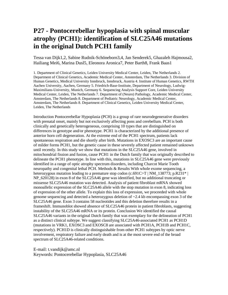### **P27 - Pontocerebellar hypoplasia with spinal muscular atrophy (PCH1): identification of SLC25A46 mutations in the original Dutch PCH1 family**

Tessa van Dijk1,2, Sabine Rudnik-Schöneborn3,4, Jan Senderek5, Ghazaleh Hajmousa2, Hailiang Mei6, Marina Dusl5, Eleonora Aronica7, Peter Barth8, Frank Baas1

1. Department of Clinical Genetics, Leiden University Medical Center, Leiden, The Netherlands 2. Department of Clinical Genetics, Academic Medical Center, Amsterdam, The Netherlands 3. Division of Human Genetics, Medical University Innsbruck, Innsbruck, Austria 4. Institute of Human Genetics, RWTH Aachen University, Aachen, Germany 5. Friedrich-Baur-Institute, Department of Neurology, Ludwig-Maximilians-University, Munich, Germany 6. Sequencing Analysis Support Core, Leiden University Medical Center, Leiden, The Netherlands 7. Department of (Neuro) Pathology, Academic Medical Center, Amsterdam, The Netherlands 8. Department of Pediatric Neurology, Academic Medical Center, Amsterdam, The Netherlands 8. Department of Clinical Genetics, Leiden University Medical Center, Leiden, The Netherlands

Introduction Pontocerebellar Hypoplasia (PCH) is a group of rare neurodegenerative disorders with prenatal onset, mainly but not exclusively affecting pons and cerebellum. PCH is both clinically and genetically heterogeneous, comprising 10 types that are distinguished on differences in genotype and/or phenotype. PCH1 is characterized by the additional presence of anterior horn cell degeneration. At the extreme end of the PCH1 spectrum, patients lack spontaneous respiration and die shortly after birth. Mutations in EXOSC3 are an important cause of milder forms PCH1, but the genetic cause in these severely affected patient remained unknown until recently. In this study we show that mutations in the SLC25A46 gene, involved in mitochondrial fission and fusion, cause PCH1 in the Dutch family that was originally described to delineate the PCH1 phenotype. In line with this, mutations in SLC25A46 gene were previously identified in a range of optic atrophy spectrum disorders, including Charcot Marie Tooth neuropathy and congenital lethal PCH. Methods & Results With whole exome sequencing, a heterozygous mutation leading to a premature stop codon (c.691C>T | NM\_138773; p.R231\*) NP\_620128) in exon 8 of the SLC25A46 gene was identified, but no additional truncating or missense SLC25A46 mutation was detected. Analysis of patient fibroblast mRNA showed monoallelic expression of the SLC25A46 allele with the stop mutation in exon 8, indicating loss of expression of the other allele. To explain this loss of expression, we proceeded with whole genome sequencing and detected a heterozygous deletion of  $\sim$  2.4 kb encompassing exon 3 of the SLC25A46 gene. Exon 3 contains 58 nucleotides and this deletion therefore results in a frameshift. Immunoblot showed absence of SLC25A46 protein in patient fibroblasts, suggesting instability of the SLC25A46 mRNA or its protein. Conclusion We identified the causal SLC25A46 variants in the original Dutch family that was exemplary for the delineation of PCH1 as a distinct clinical subtype. We suggest classifying SLC25A46-associated PCH1 as PCH1D (mutations in VRK1, EXOSC3 and EXOSC8 are associated with PCH1A, PCH1B and PCH1C, respectively). PCH1D is clinically distinguishable from other PCH1 subtypes by optic nerve involvement, respiratory failure and early death and is at the most severe end of the broad spectrum of SLC25A46-related conditions.

E-mail: t.vandijk@amc.nl

Keywords: Pontocerebellar Hypoplasia, SLC25A46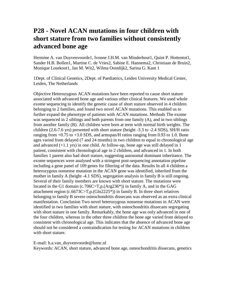#### **P28 - Novel ACAN mutations in four children with short stature from two families without consistently advanced bone age**

Hermine A. van Duyvenvoorde1, Ivonne J.H.M. van Minderhout1, Quint P. Hottentot1, Sander H.B. Bollen1, Martine C. de Vries2, Sabine E. Hannema2, Christiaan de Bruin2, Monique Losekoot1, Jan M. Wit2, Wilma Oostdijk2, Sarina G. Kant 1

1Dept. of Clinical Genetics, 2Dept. of Paediatrics, Leiden University Medical Center, Leiden, The Netherlands

Objective Heterozygous ACAN mutations have been reported to cause short stature associated with advanced bone age and various other clinical features. We used whole exome sequencing to identify the genetic cause of short stature observed in 4 children belonging to 2 families, and found two novel ACAN mutations. This enabled us to further expand the phenotype of patients with ACAN mutations. Methods The exome was sequenced in 2 siblings and both parents from one family (A), and in two siblings from another family (B). All children were born at term with normal birth weights. The children (2.6-7.6 yrs) presented with short stature (height -3.3 to -2.4 SDS), SH/H ratio ranging from  $+0.75$  to  $+3.0$  SDS, and armspan/H ratios ranging from 0.93 to 1.0. Bone ages varied from delayed (7 and 24 months) in two children to equal to chronological age and advanced (+1.1 yrs) in one child. At follow-up, bone age was still delayed in 1 patient, consistent with chronological age in 2 children, and advanced in 1. In both families 1 parent also had short stature, suggesting autosomal dominant inheritance. The exome sequences were analysed with a stringent post-sequencing annotation pipeline including a gene panel of 109 genes for filtering of the data. Results In all 4 children a heterozygous nonsense mutation in the ACAN gene was identified, inherited from the mother in family A (height -4.1 SDS), segregation analysis in family B is still ongoing. Several of their family members are known with short stature. The mutations were located in the G1 domain (c.706C>T,p.(Arg236<sup>\*</sup>)) in family A, and in the GAG attachment region (c.6673C>T,p.(Gln2225\*)) in family B. In three short relatives belonging to family B severe osteochondritis dissecans was observed as an extra clinical manifestation. Conclusion Two novel heterozygous nonsense mutations in ACAN were identified in two families with short stature, with osteochondritis dissecans segregating with short stature in one family. Remarkably, the bone age was only advanced in one of the four children, whereas in the other three children the bone age varied from delayed to consistent with chronological age. This indicates that the absence of advanced bone age should not be considered a contraindication for testing for ACAN mutations in children with short stature.

E-mail: h.a.van\_duyvenvoorde@lumc.nl

Keywords: ACAN, short stature, advanced bone age, osteochondritis dissecans, genetics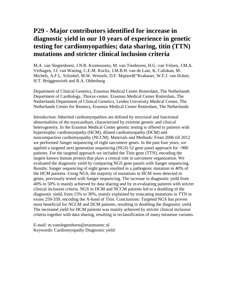### **P29 - Major contributors identified for increase in diagnostic yield in our 10 years of experience in genetic testing for cardiomyopathies; data sharing, titin (TTN) mutations and stricter clinical inclusion criteria**

M.A. van Slegtenhorst, J.N.R. Kromosoeto, M. van Tienhoven, H.G. van Velzen, J.M.A. Verhagen, J.I. van Waning, C.E.M. Kockx, I.M.B.H. van de Laar, K. Caliskan, M. Michels, A.F.L. Schinkel, M.W. Wessels, D.F. Majoorâ€'Krakauer, W.F.J. van IJcken, H.T. Brüggenwirth and R.A. Oldenburg

Department of Clinical Genetics, Erasmus Medical Center Rotterdam, The Netherlands Department of Cardiology, Thorax-center, Erasmus Medical Center Rotterdam, The Netherlands Department of Clinical Genetics, Leiden University Medical Center, The Netherlands Center for Biomics, Erasmus Medical Center Rotterdam, The Netherlands

Introduction: Inherited cardiomyopathies are defined by structural and functional abnormalities of the myocardium, characterized by extreme genetic and clinical heterogeneity. In the Erasmus Medical Center genetic testing is offered to patients with hypertrophic cardiomyopathy (HCM), dilated cardiomyopathy (DCM) and noncompaction cardiomyopathy (NCCM). Materials and Methods: From 2006 till 2012 we performed Sanger sequencing of eight sarcomere genes. In the past four years, we applied a targeted next generation sequencing (NGS) 52 gene panel approach for  $\sim$ 900 patients. For the targeted approach we included the Titin gene (TTN), encoding the largest known human protein that plays a central role in sarcomere organization. We evaluated the diagnostic yield by comparing NGS gene panels with Sanger sequencing. Results: Sanger sequencing of eight genes resulted in a pathogenic mutation in 40% of the HCM patients. Using NGS, the majority of mutations in HCM were detected in genes, previously tested with Sanger sequencing. The increase in diagnostic yield from 40% to 50% is mainly achieved by data sharing and by re-evaluating patients with stricter clinical inclusion criteria. NGS in DCM and NCCM patients led to a doubling of the diagnostic yield, from 15% to 30%, mainly explained by truncating mutations in TTN in exons 259-359, encoding the A-band of Titin. Conclusions: Targeted NGS has proven most beneficial for NCCM and DCM patients, resulting in doubling the diagnostic yield. The increased yield for HCM patients was mainly achieved by stricter clinical inclusion criteria together with data sharing, resulting in reclassification of many missense variants.

E-mail: m.vanslegtenhorst@erasmusmc.nl Keywords: Cardiomyopathy Diagnostic yield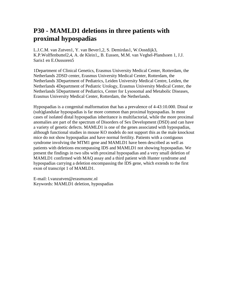### **P30 - MAMLD1 deletions in three patients with proximal hypospadias**

L.J.C.M. van Zutven1, Y. van Bever1,2, S. Demirdas1, W.Oostdijk3, K.P.Wolffenbuttel2,4, A. de Klein1,, B. Eussen, M.M. van Veghel-Plandsoen 1, J.J. Saris1 en E.Oussoren5

1Department of Clinical Genetics, Erasmus University Medical Center, Rotterdam, the Netherlands 2DSD center, Erasmus University Medical Center, Rotterdam, the Netherlands 3Department of Pediatrics, Leiden University Medical Centre, Leiden, the Netherlands 4Department of Pediatric Urology, Erasmus University Medical Center, the Netherlands 5Department of Pediatrics, Center for Lysosomal and Metabolic Diseases, Erasmus University Medical Center, Rotterdam, the Netherlands.

Hypospadias is a congenital malformation that has a prevalence of 4-43:10.000. Distal or (sub)glandular hypospadias is far more common than proximal hypospadias. In most cases of isolated distal hypospadias inheritance is multifactorial, while the more proximal anomalies are part of the spectrum of Disorders of Sex Development (DSD) and can have a variety of genetic defects. MAMLD1 is one of the genes associated with hypospadias, although functional studies in mouse KO models do not support this as the male knockout mice do not show hypospadias and have normal fertility. Patients with a contiguous syndrome involving the MTM1 gene and MAMLD1 have been described as well as patients with deletions encompassing IDS and MAMLD1 not showing hypospadias. We present the findings in two sibs with proximal hypospadias and a very small deletion of MAMLD1 confirmed with MAQ assay and a third patient with Hunter syndrome and hypospadias carrying a deletion encompassing the IDS gene, which extends to the first exon of transcript 1 of MAMLD1.

E-mail: l.vanzutven@erasmusmc.nl Keywords: MAMLD1 deletion, hypospadias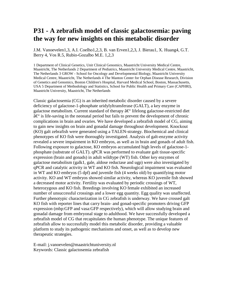#### **P31 - A zebrafish model of classic galactosemia: paving the way for new insights on this metabolic disorder**

J.M. Vanoevelen1,3, A.I. Coelho1,2,3, B. van Erven1,2,3, J. Bierau1, X. Huang4, G.T. Berry 4, Vos R.5, Rubio-Gozalbo M.E. 1,2,3

1 Department of Clinical Genetics, Unit Clinical Genomics, Maastricht University Medical Centre, Maastricht, The Netherlands 2 Department of Pediatrics, Maastricht University Medical Centre, Maastricht, The Netherlands 3 GROW - School for Oncology and Developmental Biology, Maastricht University Medical Centre, Maastricht, The Netherlands 4 The Manton Center for Orphan Disease Research, Division of Genetics and Genomics, Boston Children's Hospital, Harvard Medical School, Boston, Massachusetts, USA 5 Department of Methodology and Statistics, School for Public Health and Primary Care (CAPHRI), Maastricht University, Maastricht, The Netherlands

Classic galactosemia (CG) is an inherited metabolic disorder caused by a severe deficiency of galactose-1-phosphate uridylyltransferase (GALT), a key enzyme in galactose metabolism. Current standard of therapy  $\hat{a} \in \mathcal{C}^{\perp}$  lifelong galactose-restricted diet  $\hat{a} \in \hat{C}$  is life-saving in the neonatal period but fails to prevent the development of chronic complications in brain and ovaries. We have developed a zebrafish model of CG, aiming to gain new insights on brain and gonadal damage throughout development. Knockout (KO) galt zebrafish were generated using a TALEN-strategy. Biochemical and clinical phenotypes of KO fish were thoroughly investigated. Analysis of galt-enzyme activity revealed a severe impairment in KO embryos, as well as in brain and gonads of adult fish. Following exposure to galactose, KO embryos accumulated high levels of galactose-1 phosphate (substrate of GALT). qPCR was performed to evaluate galt tissue-specific expression (brain and gonads) in adult wildtype (WT) fish. Other key enzymes of galactose metabolism (galk1, gale, aldose reductase and ugp) were also investigated by qPCR and catalytic activity in WT and KO fish. Neurological impairment was evaluated in WT and KO embryos (5 dpf) and juvenile fish (4 weeks old) by quantifying motor activity. KO and WT embryos showed similar activity, whereas KO juvenile fish showed a decreased motor activity. Fertility was evaluated by periodic crossings of WT, heterozygous and KO fish. Breedings involving KO female exhibited an increased number of unsuccessful crossings and a lower egg quantity. Egg quality was unaffected. Further phenotypic characterization in CG zebrafish is underway. We have crossed galt KO fish with reporter lines that carry brain- and gonad-specific promoters driving GFP expression (mbp:GFP and vasa:GFP respectively), which will allow studying brain and gonadal damage from embryonal stage to adulthood. We have successfully developed a zebrafish model of CG that recapitulates the human phenotype. The unique features of zebrafish allow to successfully model this metabolic disorder, providing a valuable platform to study its pathogenic mechanisms and onset, as well as to develop new therapeutic strategies.

E-mail: j.vanoevelen@maastrichtuniversity.nl Keywords: Classic galactosemia zebrafish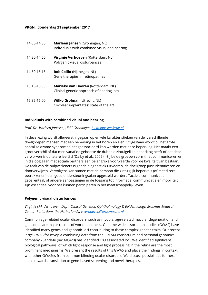#### **VKGN, donderdag 21 september 2017**

| 14.00-14.30 | Marleen Jansen (Groningen, NL)<br>Individuals with combined visual and hearing  |
|-------------|---------------------------------------------------------------------------------|
| 14.30-14.50 | Virginie Verhoeven (Rotterdam, NL)<br>Polygenic visual disturbances             |
| 14.50-15.15 | <b>Rob Collin</b> (Nijmegen, NL)<br>Gene therapies in retinopathies             |
| 15.15-15.35 | Marieke van Dooren (Rotterdam, NL)<br>Clinical genetic approach of hearing loss |
| 15.35-16.00 | <b>Wilko Grolman (Utrecht, NL)</b><br>Cochlear implantates: state of the art    |

#### **Individuals with combined visual and hearing**

#### *Prof. Dr. Marleen Janssen, UMC Groningen. [h.j.m.janssen@rug.nl](mailto:h.j.m.janssen@rug.nl)*

In deze lezing wordt allereerst ingegaan op enkele karakteristieken van de verschillende doelgroepen mensen met een beperking in het horen en zien. Stilgestaan wordt bij het grote aantal zeldzame syndromen dat geassocieerd kan worden met deze beperking. Het maakt een groot verschil of dat men vanaf de geboorte de dubbele zintuigelijke beperking heeft of dat deze verworven is op latere leeftijd (Dalby et al., 2009). Bij beide groepen vormt het communiceren en in dialoog gaan met sociale partners een belangrijke voorwaarde voor de kwaliteit van bestaan. De taak van de hulpverleners is goede diagnostiek uitvoeren, de doelgroep juist identificeren en doorverwijzen. Vervolgens kan samen met de persoon die zintuiglijk beperkt is (of met direct betrokkenen) een goed ondersteuningsplan opgesteld worden. Tactiele communicatie, gebarentaal, of andere aanpassingen in de toegang tot informatie, communicatie en mobiliteit zijn essentieel voor het kunnen participeren in het maatschappelijk leven.

#### **Polygenic visual disturbances**

*Virginie J.M. Verhoeven, Dept. Clinical Genetics, Ophthalmology & Epidemiology, Erasmus Medical Center, Rotterdam, the Netherlands. [v.verhoeven@erasmusmc.nl](mailto:v.verhoeven@erasmusmc.nl)*

Common age-related ocular disorders, such as myopia, age-related macular degeneration and glaucoma, are major causes of world blindness. Genome-wide association studies (GWAS) have identified many genes and genomic loci contributing to these complex genetic traits. Our recent large GWAS for myopia combining data from the CREAM consortium and personal genomics company 23andMe (n=160,420) has identified 189 associated loci. We identified significant biological pathways, of which light response and light processing in the retina are the most prominent mechanisms. We present the results of this GWAS and place the findings in context with other GWASes from common blinding ocular disorders. We discuss possibilities for next steps towards translation to gene-based screening and novel therapies.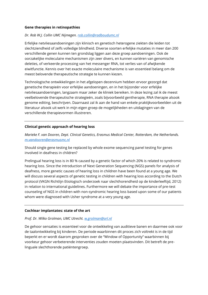#### **Gene therapies in retinopathies**

#### *Dr. Rob W.J. Collin UMC Nijmegen. [rob.collin@radboudumc.nl](mailto:rob.collin@radboudumc.nl)*

Erfelijke netvliesaandoeningen zijn klinisch en genetisch heterogene ziekten die leiden tot slechtziendheid of zelfs volledige blindheid. Diverse soorten erfelijke mutaties in meer dan 200 verschillende genen kunnen ten grondslag liggen aan deze groep aandoeningen. Ook de oorzakelijke moleculaire mechanismen zijn zeer divers, en kunnen variëren van genomische deleties, of verkeerde processing van het messenger RNA, tot verlies van of afwijkende eiwitfunctie. Kennis over het exacte moleculaire mechanisme is van essentieel belang om de meest belovende therapeutische strategie te kunnen kiezen.

Technologische ontwikkelingen in het afgelopen decennium hebben ervoor gezorgd dat genetische therapieën voor erfelijke aandoeningen, en in het bijzonder voor erfelijke netvliesaandoeningen, langzaam maar zeker de kliniek bereiken. In deze lezing zal ik de meest veelbelovende therapeutische strategieën, zoals bijvoorbeeld gentherapie, RNA therapie alsook genome editing, beschrijven. Daarnaast zal ik aan de hand van enkele praktijkvoorbeelden uit de literatuur alsook uit werk in mijn eigen groep de mogelijkheden en uitdagingen van de verschillende therapievormen illustreren.

#### **Clinical genetic approach of hearing loss**

*Marieke F. van Dooren, Dept. Clinical Genetics, Erasmus Medical Center, Rotterdam, the Netherlands. [m.vandooren@erasmusmc.nl](mailto:m.vandooren@erasmusmc.nl)*

Should single gene testing be replaced by whole exome sequencing panel testing for genes involved in deafness in children?

Prelingual hearing loss is in 80 % caused by a genetic factor of which 20% is related to syndromic hearing loss. Since the introduction of Next Generation Sequencing (NGS) panels for analysis of deafness, more genetic causes of hearing loss in children have been found at a young age. We will discuss several aspects of genetic testing in children with hearing loss according to the Dutch protocol (VKGN Richtlijn Etiologisch onderzoek naar slechthorendheid op de kinderleeftijd, 2012) in relation to international guidelines. Furthermore we will debate the importance of pre-test counseling of NGS in children with non-syndromic hearing loss based upon some of our patients whom were diagnosed with Usher syndrome at a very young age.

#### **Cochlear implantates: state of the art**

#### *Prof. Dr. Wilko Grolman, UMC Utrecht. [w.grolman@orl.nl](mailto:w.grolman@orl.nl)*

De gehoor sensaties is essentieel voor de ontwikkeling van auditieve banen en daarmee ook voor de taalontwikkeling bij kinderen. De periode waarbinnen dit proces zich voltrekt is in de tijd beperkt en er wordt daarom gesproken over de "Window of Opportunity" waarbinnen bij voorkeur gehoor verbeterende interventies zouden moeten plaatsvinden. Dit betreft de prelinguale slechthorende patiëntengroep.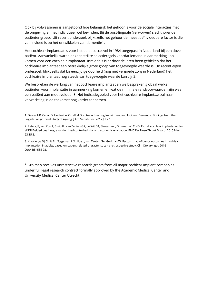Ook bij volwassenen is aangetoond hoe belangrijk het gehoor is voor de sociale interacties met de omgeving en het individueel wel bevinden. Bij de post-linguale (verworven) slechthorende patiëntengroep. Uit recent onderzoek blijkt zelfs het gehoor de meest beïnvloedbare factor is die van invloed is op het ontwikkelen van dementie1.

Het cochleair implantaat is voor het eerst succesvol in 1984 toegepast in Nederland bij een dove patiënt. Aanvankelijk waren er zeer strikte selectieregels voordat iemand in aanmerking kon komen voor een cochleair implantaat. Inmiddels is er door de jaren heen gebleken dat het cochleaire implantaat een betrekkelijke grote groep van toegevoegde waarde is. Uit recent eigen onderzoek blijkt zelfs dat bij eenzijdige doofheid (nog niet vergoede zorg in Nederland) het cochleaire implantaat nog steeds van toegevoegde waarde kan zijn2.

We bespreken de werking van het cochleaire implantaat en we bespreken globaal welke patiënten voor implantatie in aanmerking komen en wat de minimale randvoorwaarden zijn waar een patiënt aan moet voldoen3. Het indicatiegebied voor het cochleaire implantaat zal naar verwachting in de toekomst nog verder toenemen.

1: Davies HR, Cadar D, Herbert A, Orrell M, Steptoe A. Hearing Impairment and Incident Dementia: Findings from the English Longitudinal Study of Ageing. J Am Geriatr Soc. 2017 Jul 22.

2: Peters JP, van Zon A, Smit AL, van Zanten GA, de Wit GA, Stegeman I, Grolman W. CINGLE-trial: cochlear implantation for siNGLE-sided deafness, a randomized controlled trial and economic evaluation. BMC Ear Nose Throat Disord. 2015 May 23;15:3.

3: Kraaijenga VJ, Smit AL, Stegeman I, Smilde JJ, van Zanten GA, Grolman W. Factors that influence outcomes in cochlear implantation in adults, based on patient-related characteristics - a retrospective study. Clin Otolaryngol. 2016 Oct;41(5):585-92.

\* Grolman receives unrestrictive research grants from all major cochlear implant companies under full legal research contract formally approved by the Academic Medical Center and University Medical Center Utrecht.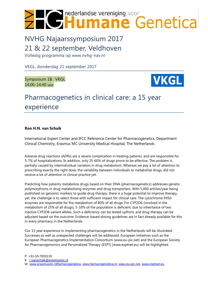

# NVHG Najaarssymposium 2017 21 & 22 september, Veldhoven

Volledig programma op www.nvhg-nav.nl

VKGL, donderdag 21 september 2017

Symposium 1B : VKGL 14:00-14:40 uur



## Pharmacogenetics in clinical care: a 15 year experience

#### **Ron H.N. van Schaik**

International Expert Center and IFCC Reference Center for Pharmacogenetics, Department Clinical Chemistry, Erasmus MC University Medical Hospital, The Netherlands

Adverse drug reactions (ADRs) are a severe complication in treating patients, and are responsible for 5-7% of hospitalizations. In addition, only 25-60% of drugs prove to be effective. The problem is partially caused by interindividual variation in drug metabolism. Whereas we pay a lot of attention to prescribing exactly the right dose, the variability between individuals to metabolize drugs, did not receive a lot of attention in clinical practice yet.

Predicting how patients metabolize drugs based on their DNA (pharmacogenetics) addresses genetic polymorphisms in drug metabolizing enzymes and drug transporters. With 5,000 articles/year being published on genomic markers to guide drug therapy, there is a huge potential to improve therapy, yet, the challenge is to select those with sufficient impact for clinical care. The cytochrome P450 enzymes are responsible for the metabolism of 80% of all drugs. For CYP2D6 (involved in the metabolism of 25% of all drugs), 5-10% of the population is deficient. due to inheritance of two inactive CYP2D6 variant alleles. Such a deficiency can be tested upfront, and drug therapy can be adjusted based on the outcome. Evidence-based dosing guidelines are in fact already available for this in every pharmacy in the Netherlands.

Our 15 year experience in implementing pharmacogenetics in the Netherlands will be illustrated. Successes as well as unexpected challenges will be addressed. European initiatives such as the European Pharmacogenetics Implementation Consortium [\(www.eu-pic.net\)](http://www.eu-pic.net/) and the European Society for Pharmacogenomics and Personalized Therapy (ESPT) [\(www.esptnet.eu\)](http://www.esptnet.eu/) will be highlighted.

W [www.erasmusmc.nl/farmacogenetica,](http://www.erasmusmc.nl/farmacogenetica) [www.farmacogenetica.nl,](http://www.farmacogenetica.nl/) [www.eu-pic.net,](http://www.eu-pic.net/) www.esptnet.eu

P +31-10-7033119

E [r.vanschaik@erasmusmc.nl](mailto:r.vanschaik@erasmusmc.nl)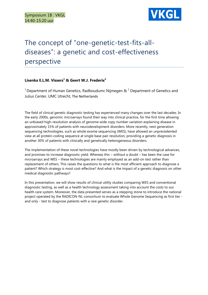

# The concept of "one-genetic-test-fits-alldiseases": a genetic and cost-effectiveness perspective

#### **Lisenka E.L.M. Vissers<sup>1</sup> & Geert W.J. Frederix<sup>2</sup>**

<sup>1</sup> Department of Human Genetics, Radboudumc Nijmegen  $\alpha^2$  Department of Genetics and Julius Center, UMC Utrecht, The Netherlands

The field of clinical genetic diagnostic testing has experienced many changes over the last decades. In the early 2000s, genomic microarrays found their way into clinical practice, for the first time allowing an unbiased high-resolution analysis of genome wide copy number variation explaining disease in approximately 15% of patients with neurodevelopment disorders. More recently, next generation sequencing technologies, such as whole exome sequencing (WES), have allowed an unprecedented view at all protein-coding sequence at single base pair resolution, providing a genetic diagnosis in another 30% of patients with clinically and genetically heterogeneous disorders.

The implementation of these novel technologies have mostly been driven by technological advances, and promises to increase diagnostic yield. Whereas this – without a doubt – has been the case for microarrays and WES – these technologies are mainly employed as an add-on test rather than replacement of others. This raises the questions to what is the most efficient approach to diagnose a patient? Which strategy is most cost-effective? And what is the impact of a genetic diagnosis on other medical diagnostic pathways?

In this presentation, we will show results of clinical utility studies comparing WES and conventional diagnostic testing, as well as a health technology assessment taking into account the costs to our health care system. Moreover, the data presented serves as a stepping stone to introduce the national project operated by the RADICON-NL consortium to evaluate Whole Genome Sequencing as first tier and only - test to diagnose patients with a rare genetic disorder.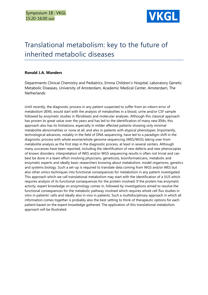

# Translational metabolism: key to the future of inherited metabolic diseases

#### **Ronald J.A. Wanders**

Departments Clinical Chemistry and Pediatrics, Emma Children's Hospital, Laboratory Genetic Metabolic Diseases, University of Amsterdam, Academic Medical Center, Amsterdam, The **Netherlands** 

Until recently, the diagnostic process in any patient suspected to suffer from an inborn error of metabolism (IEM), would start with the analysis of metabolites in a blood, urine and/or CSF sample followed by enzymatic studies in fibroblasts and molecular analyses. Although this classical approach has proven its great value over the years and has led to the identification of many new IEMs, this approach also has its limitations, especially in milder affected patients showing only minimal metabolite abnormalities or none at all, and also in patients with atypical phenotypes. Importantly, technological advances, notably in the field of DNA sequencing, have led to a paradigm shift in the diagnostic process with whole exome/whole genome sequencing (WES/WGS) taking over from metabolite analysis as the first step in the diagnostic process, at least in several centers. Although many successes have been reported, including the identification of new defects and new phenocopies of known disorders, interpretation of WES and/or WGS sequencing results is often not trivial and can best be done in a team effort involving physicians, geneticists, bioinformaticians, metabolic and enzymatic experts and ideally basic researchers knowing about metabolism, model organisms, genetics and systems biology. Such a set-up is required to translate data coming from WGS and/or WES but also other omics techniques into functional consequences for metabolism in any patient investigated. This approach which we call translational metabolism may start with the identification of a VUS which requires analysis of its functional consequences for the protein involved. If the protein has enzymatic activity, expert knowledge on enzymology comes in, followed by investigations aimed to resolve the functional consequences for the metabolic pathway involved which requires whole cell flux studies in vitro in patients' cells and ideally also in vivo in patients. Such a multidisciplinary approach in which all information comes together is probably also the best setting to think of therapeutic options for each patient based on the expert knowledge gathered. The application of this translational metabolism approach will be illustrated.